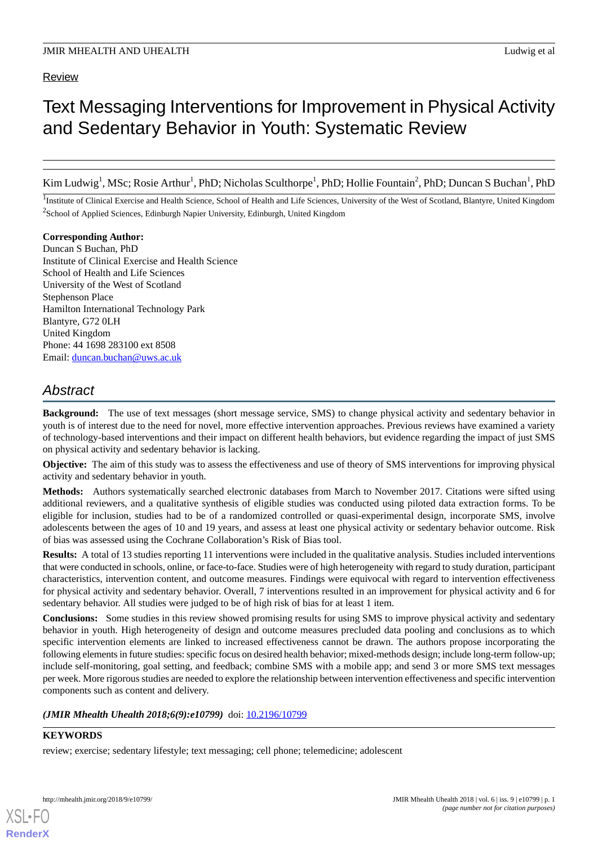# Text Messaging Interventions for Improvement in Physical Activity and Sedentary Behavior in Youth: Systematic Review

Kim Ludwig<sup>1</sup>, MSc; Rosie Arthur<sup>1</sup>, PhD; Nicholas Sculthorpe<sup>1</sup>, PhD; Hollie Fountain<sup>2</sup>, PhD; Duncan S Buchan<sup>1</sup>, PhD

<sup>1</sup>Institute of Clinical Exercise and Health Science, School of Health and Life Sciences, University of the West of Scotland, Blantyre, United Kingdom <sup>2</sup>School of Applied Sciences, Edinburgh Napier University, Edinburgh, United Kingdom

**Corresponding Author:** Duncan S Buchan, PhD Institute of Clinical Exercise and Health Science School of Health and Life Sciences University of the West of Scotland Stephenson Place Hamilton International Technology Park Blantyre, G72 0LH United Kingdom Phone: 44 1698 283100 ext 8508 Email: [duncan.buchan@uws.ac.uk](mailto:duncan.buchan@uws.ac.uk)

# *Abstract*

**Background:** The use of text messages (short message service, SMS) to change physical activity and sedentary behavior in youth is of interest due to the need for novel, more effective intervention approaches. Previous reviews have examined a variety of technology-based interventions and their impact on different health behaviors, but evidence regarding the impact of just SMS on physical activity and sedentary behavior is lacking.

**Objective:** The aim of this study was to assess the effectiveness and use of theory of SMS interventions for improving physical activity and sedentary behavior in youth.

**Methods:** Authors systematically searched electronic databases from March to November 2017. Citations were sifted using additional reviewers, and a qualitative synthesis of eligible studies was conducted using piloted data extraction forms. To be eligible for inclusion, studies had to be of a randomized controlled or quasi-experimental design, incorporate SMS, involve adolescents between the ages of 10 and 19 years, and assess at least one physical activity or sedentary behavior outcome. Risk of bias was assessed using the Cochrane Collaboration's Risk of Bias tool.

**Results:** A total of 13 studies reporting 11 interventions were included in the qualitative analysis. Studies included interventions that were conducted in schools, online, or face-to-face. Studies were of high heterogeneity with regard to study duration, participant characteristics, intervention content, and outcome measures. Findings were equivocal with regard to intervention effectiveness for physical activity and sedentary behavior. Overall, 7 interventions resulted in an improvement for physical activity and 6 for sedentary behavior. All studies were judged to be of high risk of bias for at least 1 item.

**Conclusions:** Some studies in this review showed promising results for using SMS to improve physical activity and sedentary behavior in youth. High heterogeneity of design and outcome measures precluded data pooling and conclusions as to which specific intervention elements are linked to increased effectiveness cannot be drawn. The authors propose incorporating the following elements in future studies: specific focus on desired health behavior; mixed-methods design; include long-term follow-up; include self-monitoring, goal setting, and feedback; combine SMS with a mobile app; and send 3 or more SMS text messages per week. More rigorous studies are needed to explore the relationship between intervention effectiveness and specific intervention components such as content and delivery.

# *(JMIR Mhealth Uhealth 2018;6(9):e10799)* doi: [10.2196/10799](http://dx.doi.org/10.2196/10799)

# **KEYWORDS**

[XSL](http://www.w3.org/Style/XSL)•FO **[RenderX](http://www.renderx.com/)**

review; exercise; sedentary lifestyle; text messaging; cell phone; telemedicine; adolescent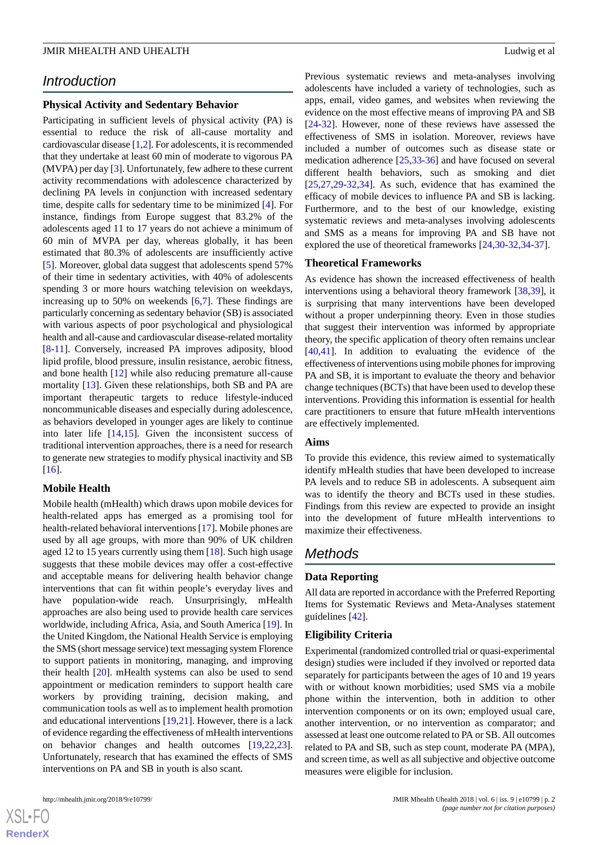# *Introduction*

#### **Physical Activity and Sedentary Behavior**

Participating in sufficient levels of physical activity (PA) is essential to reduce the risk of all-cause mortality and cardiovascular disease [[1](#page-13-0)[,2](#page-13-1)]. For adolescents, it is recommended that they undertake at least 60 min of moderate to vigorous PA (MVPA) per day [\[3](#page-13-2)]. Unfortunately, few adhere to these current activity recommendations with adolescence characterized by declining PA levels in conjunction with increased sedentary time, despite calls for sedentary time to be minimized [\[4](#page-13-3)]. For instance, findings from Europe suggest that 83.2% of the adolescents aged 11 to 17 years do not achieve a minimum of 60 min of MVPA per day, whereas globally, it has been estimated that 80.3% of adolescents are insufficiently active [[5\]](#page-13-4). Moreover, global data suggest that adolescents spend 57% of their time in sedentary activities, with 40% of adolescents spending 3 or more hours watching television on weekdays, increasing up to 50% on weekends [[6](#page-13-5)[,7](#page-14-0)]. These findings are particularly concerning as sedentary behavior (SB) is associated with various aspects of poor psychological and physiological health and all-cause and cardiovascular disease-related mortality [[8](#page-14-1)[-11](#page-14-2)]. Conversely, increased PA improves adiposity, blood lipid profile, blood pressure, insulin resistance, aerobic fitness, and bone health [\[12](#page-14-3)] while also reducing premature all-cause mortality [[13\]](#page-14-4). Given these relationships, both SB and PA are important therapeutic targets to reduce lifestyle-induced noncommunicable diseases and especially during adolescence, as behaviors developed in younger ages are likely to continue into later life [[14,](#page-14-5)[15](#page-14-6)]. Given the inconsistent success of traditional intervention approaches, there is a need for research to generate new strategies to modify physical inactivity and SB  $[16]$  $[16]$ .

#### **Mobile Health**

Mobile health (mHealth) which draws upon mobile devices for health-related apps has emerged as a promising tool for health-related behavioral interventions [[17\]](#page-14-8). Mobile phones are used by all age groups, with more than 90% of UK children aged 12 to 15 years currently using them [[18\]](#page-14-9). Such high usage suggests that these mobile devices may offer a cost-effective and acceptable means for delivering health behavior change interventions that can fit within people's everyday lives and have population-wide reach. Unsurprisingly, mHealth approaches are also being used to provide health care services worldwide, including Africa, Asia, and South America [\[19](#page-14-10)]. In the United Kingdom, the National Health Service is employing the SMS (short message service) text messaging system Florence to support patients in monitoring, managing, and improving their health [\[20](#page-14-11)]. mHealth systems can also be used to send appointment or medication reminders to support health care workers by providing training, decision making, and communication tools as well as to implement health promotion and educational interventions [[19,](#page-14-10)[21](#page-14-12)]. However, there is a lack of evidence regarding the effectiveness of mHealth interventions on behavior changes and health outcomes [[19](#page-14-10)[,22](#page-14-13),[23\]](#page-14-14). Unfortunately, research that has examined the effects of SMS interventions on PA and SB in youth is also scant.

 $XS$ -FO **[RenderX](http://www.renderx.com/)** Previous systematic reviews and meta-analyses involving adolescents have included a variety of technologies, such as apps, email, video games, and websites when reviewing the evidence on the most effective means of improving PA and SB [[24](#page-14-15)[-32](#page-15-0)]. However, none of these reviews have assessed the effectiveness of SMS in isolation. Moreover, reviews have included a number of outcomes such as disease state or medication adherence [[25,](#page-14-16)[33](#page-15-1)[-36](#page-15-2)] and have focused on several different health behaviors, such as smoking and diet [[25,](#page-14-16)[27,](#page-14-17)[29](#page-15-3)[-32](#page-15-0),[34\]](#page-15-4). As such, evidence that has examined the efficacy of mobile devices to influence PA and SB is lacking. Furthermore, and to the best of our knowledge, existing systematic reviews and meta-analyses involving adolescents and SMS as a means for improving PA and SB have not explored the use of theoretical frameworks [\[24](#page-14-15),[30-](#page-15-5)[32](#page-15-0),[34-](#page-15-4)[37\]](#page-15-6).

#### **Theoretical Frameworks**

As evidence has shown the increased effectiveness of health interventions using a behavioral theory framework [[38,](#page-15-7)[39](#page-15-8)], it is surprising that many interventions have been developed without a proper underpinning theory. Even in those studies that suggest their intervention was informed by appropriate theory, the specific application of theory often remains unclear [[40,](#page-15-9)[41\]](#page-15-10). In addition to evaluating the evidence of the effectiveness of interventions using mobile phones for improving PA and SB, it is important to evaluate the theory and behavior change techniques (BCTs) that have been used to develop these interventions. Providing this information is essential for health care practitioners to ensure that future mHealth interventions are effectively implemented.

#### **Aims**

To provide this evidence, this review aimed to systematically identify mHealth studies that have been developed to increase PA levels and to reduce SB in adolescents. A subsequent aim was to identify the theory and BCTs used in these studies. Findings from this review are expected to provide an insight into the development of future mHealth interventions to maximize their effectiveness.

# *Methods*

#### **Data Reporting**

All data are reported in accordance with the Preferred Reporting Items for Systematic Reviews and Meta-Analyses statement guidelines [[42\]](#page-15-11).

#### **Eligibility Criteria**

Experimental (randomized controlled trial or quasi-experimental design) studies were included if they involved or reported data separately for participants between the ages of 10 and 19 years with or without known morbidities; used SMS via a mobile phone within the intervention, both in addition to other intervention components or on its own; employed usual care, another intervention, or no intervention as comparator; and assessed at least one outcome related to PA or SB. All outcomes related to PA and SB, such as step count, moderate PA (MPA), and screen time, as well as all subjective and objective outcome measures were eligible for inclusion.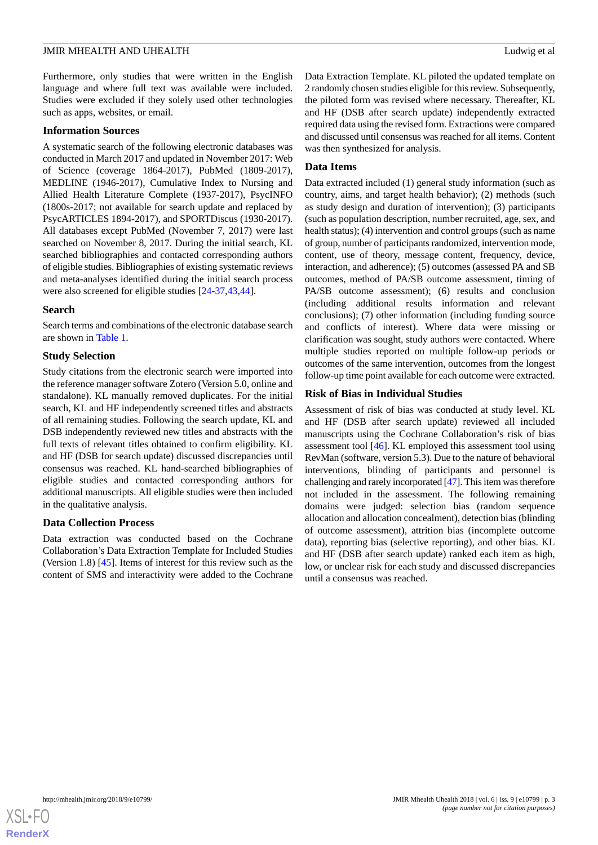Furthermore, only studies that were written in the English language and where full text was available were included. Studies were excluded if they solely used other technologies such as apps, websites, or email.

#### **Information Sources**

A systematic search of the following electronic databases was conducted in March 2017 and updated in November 2017: Web of Science (coverage 1864-2017), PubMed (1809-2017), MEDLINE (1946-2017), Cumulative Index to Nursing and Allied Health Literature Complete (1937-2017), PsycINFO (1800s-2017; not available for search update and replaced by PsycARTICLES 1894-2017), and SPORTDiscus (1930-2017). All databases except PubMed (November 7, 2017) were last searched on November 8, 2017. During the initial search, KL searched bibliographies and contacted corresponding authors of eligible studies. Bibliographies of existing systematic reviews and meta-analyses identified during the initial search process were also screened for eligible studies [[24-](#page-14-15)[37](#page-15-6),[43,](#page-15-12)[44](#page-15-13)].

#### **Search**

Search terms and combinations of the electronic database search are shown in [Table 1](#page-3-0).

#### **Study Selection**

Study citations from the electronic search were imported into the reference manager software Zotero (Version 5.0, online and standalone). KL manually removed duplicates. For the initial search, KL and HF independently screened titles and abstracts of all remaining studies. Following the search update, KL and DSB independently reviewed new titles and abstracts with the full texts of relevant titles obtained to confirm eligibility. KL and HF (DSB for search update) discussed discrepancies until consensus was reached. KL hand-searched bibliographies of eligible studies and contacted corresponding authors for additional manuscripts. All eligible studies were then included in the qualitative analysis.

#### **Data Collection Process**

Data extraction was conducted based on the Cochrane Collaboration's Data Extraction Template for Included Studies (Version 1.8) [[45\]](#page-15-14). Items of interest for this review such as the content of SMS and interactivity were added to the Cochrane

Data Extraction Template. KL piloted the updated template on 2 randomly chosen studies eligible for this review. Subsequently, the piloted form was revised where necessary. Thereafter, KL and HF (DSB after search update) independently extracted required data using the revised form. Extractions were compared and discussed until consensus was reached for all items. Content was then synthesized for analysis.

#### **Data Items**

Data extracted included (1) general study information (such as country, aims, and target health behavior); (2) methods (such as study design and duration of intervention); (3) participants (such as population description, number recruited, age, sex, and health status); (4) intervention and control groups (such as name of group, number of participants randomized, intervention mode, content, use of theory, message content, frequency, device, interaction, and adherence); (5) outcomes (assessed PA and SB outcomes, method of PA/SB outcome assessment, timing of PA/SB outcome assessment); (6) results and conclusion (including additional results information and relevant conclusions); (7) other information (including funding source and conflicts of interest). Where data were missing or clarification was sought, study authors were contacted. Where multiple studies reported on multiple follow-up periods or outcomes of the same intervention, outcomes from the longest follow-up time point available for each outcome were extracted.

#### **Risk of Bias in Individual Studies**

Assessment of risk of bias was conducted at study level. KL and HF (DSB after search update) reviewed all included manuscripts using the Cochrane Collaboration's risk of bias assessment tool [\[46](#page-15-15)]. KL employed this assessment tool using RevMan (software, version 5.3). Due to the nature of behavioral interventions, blinding of participants and personnel is challenging and rarely incorporated [\[47\]](#page-15-16). This item was therefore not included in the assessment. The following remaining domains were judged: selection bias (random sequence allocation and allocation concealment), detection bias (blinding of outcome assessment), attrition bias (incomplete outcome data), reporting bias (selective reporting), and other bias. KL and HF (DSB after search update) ranked each item as high, low, or unclear risk for each study and discussed discrepancies until a consensus was reached.

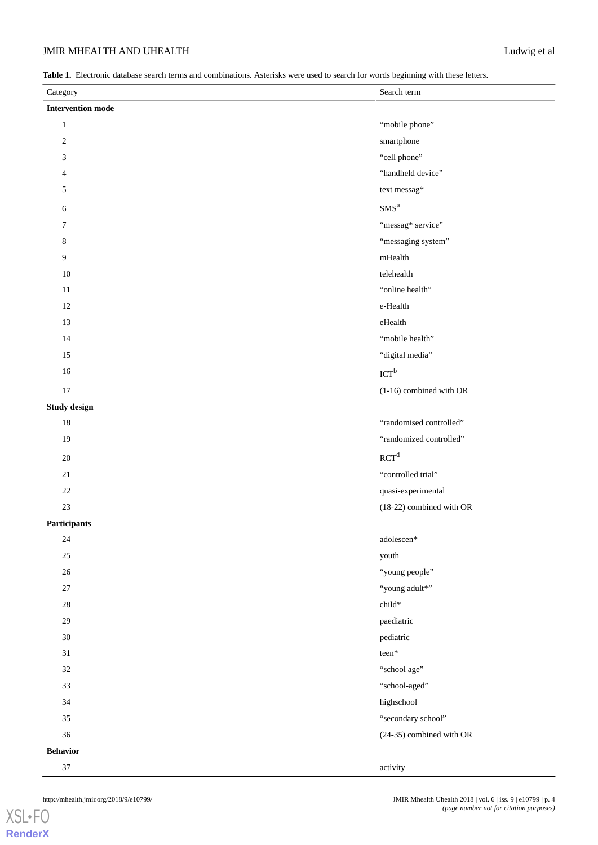<span id="page-3-0"></span>**Table 1.** Electronic database search terms and combinations. Asterisks were used to search for words beginning with these letters.

| Category                 | Search term                 |
|--------------------------|-----------------------------|
| <b>Intervention mode</b> |                             |
| $\mathbf{1}$             | "mobile phone"              |
| $\sqrt{2}$               | smartphone                  |
| 3                        | "cell phone"                |
| 4                        | "handheld device"           |
| 5                        | text messag*                |
| 6                        | SMS <sup>a</sup>            |
| 7                        | "messag* service"           |
| 8                        | "messaging system"          |
| 9                        | $m\rm{Health}$              |
| $10\,$                   | telehealth                  |
| $11\,$                   | "online health"             |
| $12\,$                   | e-Health                    |
| 13                       | eHealth                     |
| 14                       | "mobile health"             |
| 15                       | "digital media"             |
| 16                       | $\text{ICT}^{\text{b}}$     |
| 17                       | (1-16) combined with OR     |
| Study design             |                             |
| $18\,$                   | "randomised controlled"     |
| 19                       | "randomized controlled"     |
| $20\,$                   | RCT <sup>d</sup>            |
| $21\,$                   | "controlled trial"          |
| $22\,$                   | quasi-experimental          |
| $23\,$                   | (18-22) combined with OR    |
| Participants             |                             |
| $24\,$                   | $\operatorname{adolescen*}$ |
| $25\,$                   | youth                       |
| $26\,$                   | "young people"              |
| $27\,$                   | "young adult*"              |
| $28\,$                   | $\text{child*}$             |
| $29\,$                   | paediatric                  |
| $30\,$                   | pediatric                   |
| $31\,$                   | $\mathrm{teen}^*$           |
| $32\,$                   | "school age"                |
| 33                       | "school-aged"               |
| 34                       | highschool                  |
| $35\,$                   | "secondary school"          |
| 36                       | (24-35) combined with OR    |
| <b>Behavior</b>          |                             |
| $37\,$                   | activity                    |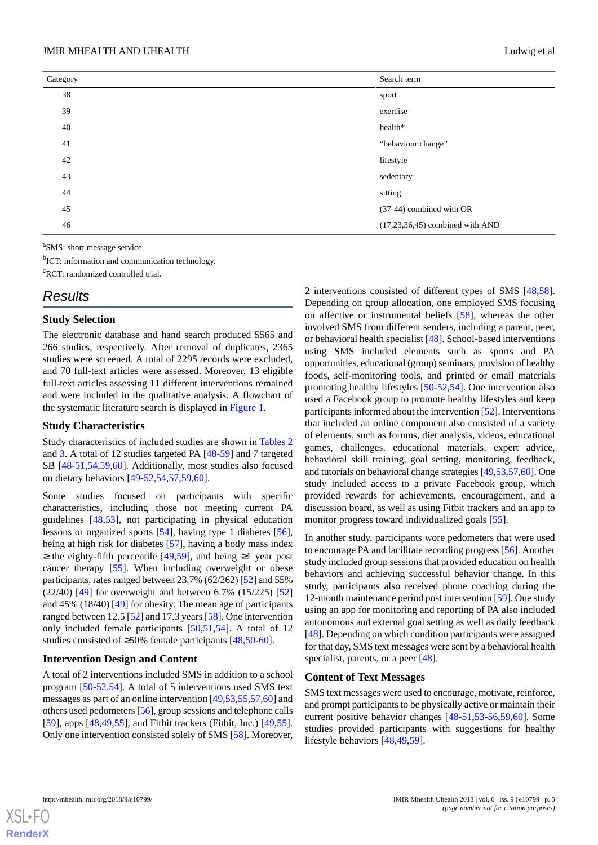| Category | Search term                       |
|----------|-----------------------------------|
| 38       | sport                             |
| 39       | exercise                          |
| 40       | health*                           |
| 41       | "behaviour change"                |
| 42       | lifestyle                         |
| 43       | sedentary                         |
| 44       | sitting                           |
| 45       | (37-44) combined with OR          |
| 46       | $(17,23,36,45)$ combined with AND |

<sup>a</sup>SMS: short message service.

<sup>b</sup>ICT: information and communication technology.

<sup>c</sup>RCT: randomized controlled trial.

# *Results*

#### **Study Selection**

The electronic database and hand search produced 5565 and 266 studies, respectively. After removal of duplicates, 2365 studies were screened. A total of 2295 records were excluded, and 70 full-text articles were assessed. Moreover, 13 eligible full-text articles assessing 11 different interventions remained and were included in the qualitative analysis. A flowchart of the systematic literature search is displayed in [Figure 1](#page-5-0).

#### **Study Characteristics**

Study characteristics of included studies are shown in [Tables 2](#page-6-0) and [3](#page-7-0). A total of 12 studies targeted PA [[48-](#page-15-17)[59](#page-16-0)] and 7 targeted SB [\[48](#page-15-17)-[51](#page-16-1)[,54](#page-16-2),[59](#page-16-0)[,60](#page-16-3)]. Additionally, most studies also focused on dietary behaviors [[49-](#page-15-18)[52](#page-16-4),[54,](#page-16-2)[57](#page-16-5),[59,](#page-16-0)[60](#page-16-3)].

Some studies focused on participants with specific characteristics, including those not meeting current PA guidelines [\[48](#page-15-17),[53\]](#page-16-6), not participating in physical education lessons or organized sports [[54\]](#page-16-2), having type 1 diabetes [[56\]](#page-16-7), being at high risk for diabetes [[57\]](#page-16-5), having a body mass index ≥ the eighty-fifth percentile [\[49](#page-15-18),[59\]](#page-16-0), and being ≥1 year post cancer therapy [\[55](#page-16-8)]. When including overweight or obese participants, rates ranged between 23.7% (62/262) [\[52](#page-16-4)] and 55% (22/40) [[49\]](#page-15-18) for overweight and between 6.7% (15/225) [\[52](#page-16-4)] and 45% (18/40) [[49\]](#page-15-18) for obesity. The mean age of participants ranged between 12.5 [[52\]](#page-16-4) and 17.3 years [\[58](#page-16-9)]. One intervention only included female participants [[50,](#page-15-19)[51](#page-16-1),[54\]](#page-16-2). A total of 12 studies consisted of ≥50% female participants [[48](#page-15-17)[,50](#page-15-19)-[60\]](#page-16-3).

### **Intervention Design and Content**

A total of 2 interventions included SMS in addition to a school program [[50-](#page-15-19)[52](#page-16-4)[,54](#page-16-2)]. A total of 5 interventions used SMS text messages as part of an online intervention [[49](#page-15-18)[,53](#page-16-6),[55](#page-16-8)[,57](#page-16-5),[60\]](#page-16-3) and others used pedometers [[56\]](#page-16-7), group sessions and telephone calls [[59\]](#page-16-0), apps [[48](#page-15-17)[,49](#page-15-18),[55\]](#page-16-8), and Fitbit trackers (Fitbit, Inc.) [\[49](#page-15-18),[55\]](#page-16-8). Only one intervention consisted solely of SMS [\[58](#page-16-9)]. Moreover, 2 interventions consisted of different types of SMS [\[48](#page-15-17),[58\]](#page-16-9). Depending on group allocation, one employed SMS focusing on affective or instrumental beliefs [\[58](#page-16-9)], whereas the other involved SMS from different senders, including a parent, peer, or behavioral health specialist [[48\]](#page-15-17). School-based interventions using SMS included elements such as sports and PA opportunities, educational (group) seminars, provision of healthy foods, self-monitoring tools, and printed or email materials promoting healthy lifestyles [\[50](#page-15-19)-[52,](#page-16-4)[54\]](#page-16-2). One intervention also used a Facebook group to promote healthy lifestyles and keep participants informed about the intervention [\[52](#page-16-4)]. Interventions that included an online component also consisted of a variety of elements, such as forums, diet analysis, videos, educational games, challenges, educational materials, expert advice, behavioral skill training, goal setting, monitoring, feedback, and tutorials on behavioral change strategies [[49,](#page-15-18)[53](#page-16-6)[,57](#page-16-5),[60](#page-16-3)]. One study included access to a private Facebook group, which provided rewards for achievements, encouragement, and a discussion board, as well as using Fitbit trackers and an app to monitor progress toward individualized goals [\[55](#page-16-8)].

In another study, participants wore pedometers that were used to encourage PA and facilitate recording progress [\[56](#page-16-7)]. Another study included group sessions that provided education on health behaviors and achieving successful behavior change. In this study, participants also received phone coaching during the 12-month maintenance period post intervention [\[59](#page-16-0)]. One study using an app for monitoring and reporting of PA also included autonomous and external goal setting as well as daily feedback [[48\]](#page-15-17). Depending on which condition participants were assigned for that day, SMS text messages were sent by a behavioral health specialist, parents, or a peer [\[48](#page-15-17)].

#### **Content of Text Messages**

SMS text messages were used to encourage, motivate, reinforce, and prompt participants to be physically active or maintain their current positive behavior changes [[48-](#page-15-17)[51](#page-16-1)[,53](#page-16-6)-[56](#page-16-7)[,59](#page-16-0),[60\]](#page-16-3). Some studies provided participants with suggestions for healthy lifestyle behaviors [[48](#page-15-17)[,49](#page-15-18),[59\]](#page-16-0).

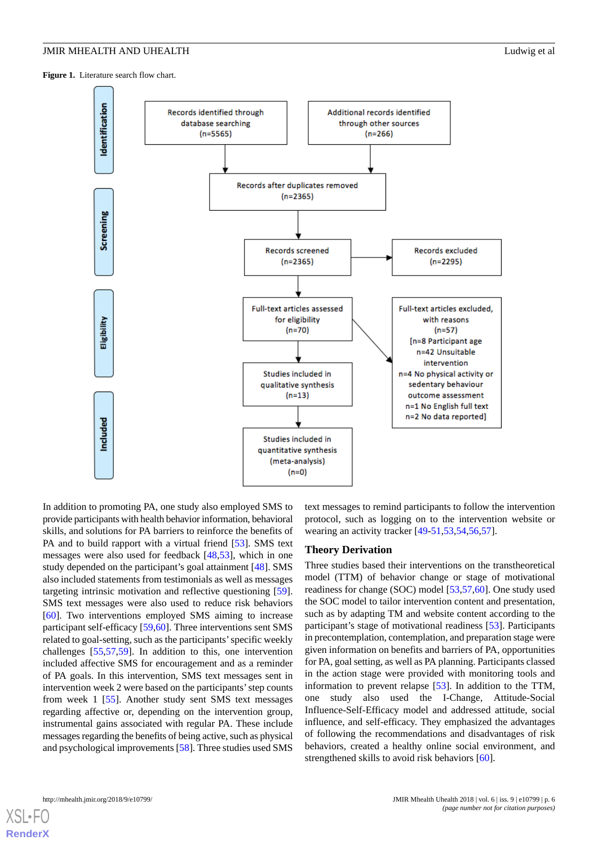<span id="page-5-0"></span>Figure 1. Literature search flow chart.



In addition to promoting PA, one study also employed SMS to provide participants with health behavior information, behavioral skills, and solutions for PA barriers to reinforce the benefits of PA and to build rapport with a virtual friend [[53\]](#page-16-6). SMS text messages were also used for feedback [\[48](#page-15-17),[53\]](#page-16-6), which in one study depended on the participant's goal attainment [\[48](#page-15-17)]. SMS also included statements from testimonials as well as messages targeting intrinsic motivation and reflective questioning [[59\]](#page-16-0). SMS text messages were also used to reduce risk behaviors [[60\]](#page-16-3). Two interventions employed SMS aiming to increase participant self-efficacy [[59,](#page-16-0)[60](#page-16-3)]. Three interventions sent SMS related to goal-setting, such as the participants'specific weekly challenges [[55,](#page-16-8)[57,](#page-16-5)[59\]](#page-16-0). In addition to this, one intervention included affective SMS for encouragement and as a reminder of PA goals. In this intervention, SMS text messages sent in intervention week 2 were based on the participants'step counts from week 1 [\[55](#page-16-8)]. Another study sent SMS text messages regarding affective or, depending on the intervention group, instrumental gains associated with regular PA. These include messages regarding the benefits of being active, such as physical and psychological improvements [[58\]](#page-16-9). Three studies used SMS

text messages to remind participants to follow the intervention protocol, such as logging on to the intervention website or wearing an activity tracker [\[49](#page-15-18)[-51](#page-16-1),[53](#page-16-6)[,54](#page-16-2),[56](#page-16-7)[,57](#page-16-5)].

#### **Theory Derivation**

Three studies based their interventions on the transtheoretical model (TTM) of behavior change or stage of motivational readiness for change (SOC) model [[53](#page-16-6)[,57](#page-16-5),[60\]](#page-16-3). One study used the SOC model to tailor intervention content and presentation, such as by adapting TM and website content according to the participant's stage of motivational readiness [[53\]](#page-16-6). Participants in precontemplation, contemplation, and preparation stage were given information on benefits and barriers of PA, opportunities for PA, goal setting, as well as PA planning. Participants classed in the action stage were provided with monitoring tools and information to prevent relapse [\[53](#page-16-6)]. In addition to the TTM, one study also used the I-Change, Attitude-Social Influence-Self-Efficacy model and addressed attitude, social influence, and self-efficacy. They emphasized the advantages of following the recommendations and disadvantages of risk behaviors, created a healthy online social environment, and strengthened skills to avoid risk behaviors [[60\]](#page-16-3).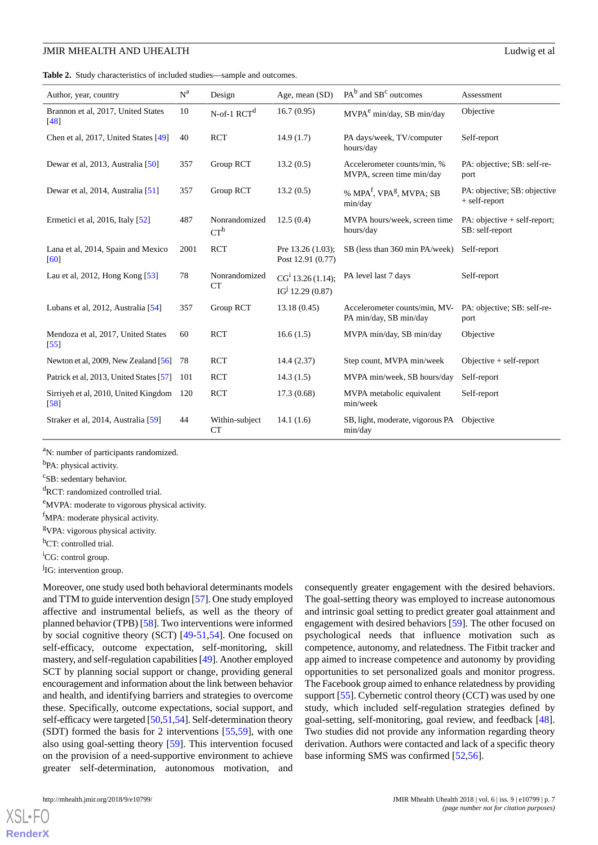<span id="page-6-0"></span>**Table 2.** Study characteristics of included studies—sample and outcomes.

| Author, year, country                                   | $N^a$ | Design                               | Age, mean (SD)                                                | $PAb$ and $SBc$ outcomes                                    | Assessment                                         |
|---------------------------------------------------------|-------|--------------------------------------|---------------------------------------------------------------|-------------------------------------------------------------|----------------------------------------------------|
| Brannon et al, 2017, United States<br>[48]              | 10    | N-of-1 $\ensuremath{\mathrm{RCT}}^d$ | 16.7(0.95)                                                    | MVPA <sup>e</sup> min/day, SB min/day                       | Objective                                          |
| Chen et al, 2017, United States [49]                    | 40    | <b>RCT</b>                           | 14.9(1.7)                                                     | PA days/week, TV/computer<br>hours/day                      | Self-report                                        |
| Dewar et al, 2013, Australia [50]                       | 357   | Group RCT                            | 13.2(0.5)                                                     | Accelerometer counts/min, %<br>MVPA, screen time min/day    | PA: objective; SB: self-re-<br>port                |
| Dewar et al, 2014, Australia [51]                       | 357   | Group RCT                            | 13.2(0.5)                                                     | % MPA <sup>f</sup> , VPA <sup>g</sup> , MVPA; SB<br>min/day | PA: objective; SB: objective<br>+ self-report      |
| Ermetici et al, 2016, Italy [52]                        | 487   | Nonrandomized<br>$CT^h$              | 12.5(0.4)                                                     | MVPA hours/week, screen time<br>hours/day                   | $PA$ : objective + self-report;<br>SB: self-report |
| Lana et al, 2014, Spain and Mexico<br>[60]              | 2001  | <b>RCT</b>                           | Pre 13.26 (1.03);<br>Post 12.91 (0.77)                        | SB (less than 360 min PA/week)                              | Self-report                                        |
| Lau et al, 2012, Hong Kong $[53]$                       | 78    | Nonrandomized<br>CT                  | CG <sup>i</sup> 13.26 (1.14);<br>IG <sup>j</sup> 12.29 (0.87) | PA level last 7 days                                        | Self-report                                        |
| Lubans et al, 2012, Australia [54]                      | 357   | Group RCT                            | 13.18(0.45)                                                   | Accelerometer counts/min, MV-<br>PA min/day, SB min/day     | PA: objective; SB: self-re-<br>port                |
| Mendoza et al, 2017, United States<br>$\left[55\right]$ | 60    | <b>RCT</b>                           | 16.6(1.5)                                                     | MVPA min/day, SB min/day                                    | Objective                                          |
| Newton et al, 2009, New Zealand [56]                    | 78    | <b>RCT</b>                           | 14.4(2.37)                                                    | Step count, MVPA min/week                                   | Objective $+$ self-report                          |
| Patrick et al, 2013, United States [57]                 | 101   | <b>RCT</b>                           | 14.3(1.5)                                                     | MVPA min/week, SB hours/day                                 | Self-report                                        |
| Sirriyeh et al, 2010, United Kingdom<br>$[58]$          | 120   | <b>RCT</b>                           | 17.3(0.68)                                                    | MVPA metabolic equivalent<br>min/week                       | Self-report                                        |
| Straker et al, 2014, Australia [59]                     | 44    | Within-subject<br>CT                 | 14.1(1.6)                                                     | SB, light, moderate, vigorous PA<br>min/day                 | Objective                                          |

<sup>a</sup>N: number of participants randomized.

<sup>b</sup>PA: physical activity.

<sup>c</sup>SB: sedentary behavior.

<sup>d</sup>RCT: randomized controlled trial.

<sup>e</sup>MVPA: moderate to vigorous physical activity.

<sup>f</sup>MPA: moderate physical activity.

<sup>g</sup>VPA: vigorous physical activity.

h<sub>CT</sub>: controlled trial.

<sup>i</sup>CG: control group.

<sup>j</sup>IG: intervention group.

Moreover, one study used both behavioral determinants models and TTM to guide intervention design [\[57](#page-16-5)]. One study employed affective and instrumental beliefs, as well as the theory of planned behavior (TPB) [[58\]](#page-16-9). Two interventions were informed by social cognitive theory (SCT) [[49-](#page-15-18)[51](#page-16-1)[,54](#page-16-2)]. One focused on self-efficacy, outcome expectation, self-monitoring, skill mastery, and self-regulation capabilities [[49](#page-15-18)]. Another employed SCT by planning social support or change, providing general encouragement and information about the link between behavior and health, and identifying barriers and strategies to overcome these. Specifically, outcome expectations, social support, and self-efficacy were targeted [[50,](#page-15-19)[51](#page-16-1)[,54\]](#page-16-2). Self-determination theory (SDT) formed the basis for 2 interventions [\[55](#page-16-8),[59\]](#page-16-0), with one also using goal-setting theory [\[59](#page-16-0)]. This intervention focused on the provision of a need-supportive environment to achieve greater self-determination, autonomous motivation, and

consequently greater engagement with the desired behaviors. The goal-setting theory was employed to increase autonomous and intrinsic goal setting to predict greater goal attainment and engagement with desired behaviors [\[59](#page-16-0)]. The other focused on psychological needs that influence motivation such as competence, autonomy, and relatedness. The Fitbit tracker and app aimed to increase competence and autonomy by providing opportunities to set personalized goals and monitor progress. The Facebook group aimed to enhance relatedness by providing support [[55\]](#page-16-8). Cybernetic control theory (CCT) was used by one study, which included self-regulation strategies defined by goal-setting, self-monitoring, goal review, and feedback [[48\]](#page-15-17). Two studies did not provide any information regarding theory derivation. Authors were contacted and lack of a specific theory base informing SMS was confirmed [[52,](#page-16-4)[56](#page-16-7)].

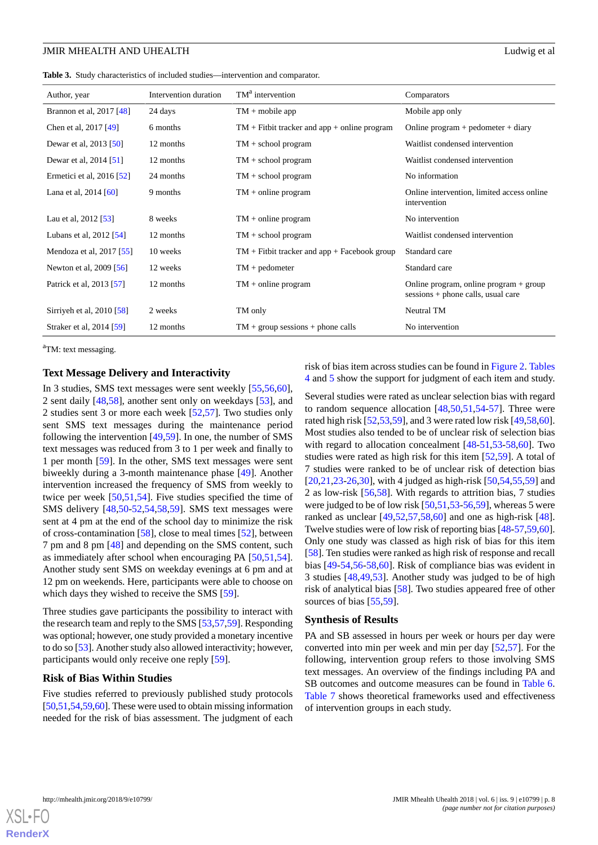<span id="page-7-0"></span>**Table 3.** Study characteristics of included studies—intervention and comparator.

| Author, year                   | Intervention duration | TM <sup>a</sup> intervention                   | Comparators                                                                    |
|--------------------------------|-----------------------|------------------------------------------------|--------------------------------------------------------------------------------|
| Brannon et al, 2017 [48]       | 24 days               | $TM + mobile app$                              | Mobile app only                                                                |
| Chen et al, 2017 [49]          | 6 months              | $TM + Fitbit$ tracker and app + online program | Online program $+$ pedometer $+$ diary                                         |
| Dewar et al, 2013 [50]         | 12 months             | $TM +$ school program                          | Waitlist condensed intervention                                                |
| Dewar et al, 2014 [51]         | 12 months             | $TM +$ school program                          | Waitlist condensed intervention                                                |
| Ermetici et al, $2016$ [52]    | 24 months             | $TM +$ school program                          | No information                                                                 |
| Lana et al, $2014 [60]$        | 9 months              | $TM + online program$                          | Online intervention, limited access online<br>intervention                     |
| Lau et al, 2012 [53]           | 8 weeks               | $TM + online program$                          | No intervention                                                                |
| Lubans et al, $2012$ [54]      | 12 months             | $TM +$ school program                          | Waitlist condensed intervention                                                |
| Mendoza et al, $2017$ [ $55$ ] | 10 weeks              | $TM + Fitbit$ tracker and app + Facebook group | Standard care                                                                  |
| Newton et al, 2009 [56]        | 12 weeks              | $TM + \text{pedometer}$                        | Standard care                                                                  |
| Patrick et al, 2013 [57]       | 12 months             | $TM + online program$                          | Online program, online program $+$ group<br>sessions + phone calls, usual care |
| Sirriyeh et al, 2010 [58]      | 2 weeks               | TM only                                        | Neutral TM                                                                     |
| Straker et al, 2014 [59]       | 12 months             | $TM + group$ sessions + phone calls            | No intervention                                                                |

<sup>a</sup>TM: text messaging.

# **Text Message Delivery and Interactivity**

In 3 studies, SMS text messages were sent weekly [[55](#page-16-8)[,56](#page-16-7),[60\]](#page-16-3), 2 sent daily [[48](#page-15-17)[,58](#page-16-9)], another sent only on weekdays [\[53](#page-16-6)], and 2 studies sent 3 or more each week [[52,](#page-16-4)[57](#page-16-5)]. Two studies only sent SMS text messages during the maintenance period following the intervention [\[49](#page-15-18),[59\]](#page-16-0). In one, the number of SMS text messages was reduced from 3 to 1 per week and finally to 1 per month [[59\]](#page-16-0). In the other, SMS text messages were sent biweekly during a 3-month maintenance phase [[49\]](#page-15-18). Another intervention increased the frequency of SMS from weekly to twice per week [\[50](#page-15-19),[51](#page-16-1)[,54](#page-16-2)]. Five studies specified the time of SMS delivery [[48,](#page-15-17)[50](#page-15-19)-[52,](#page-16-4)[54](#page-16-2)[,58](#page-16-9),[59\]](#page-16-0). SMS text messages were sent at 4 pm at the end of the school day to minimize the risk of cross-contamination [[58\]](#page-16-9), close to meal times [\[52](#page-16-4)], between 7 pm and 8 pm [[48\]](#page-15-17) and depending on the SMS content, such as immediately after school when encouraging PA [[50](#page-15-19)[,51](#page-16-1),[54\]](#page-16-2). Another study sent SMS on weekday evenings at 6 pm and at 12 pm on weekends. Here, participants were able to choose on which days they wished to receive the SMS [\[59](#page-16-0)].

Three studies gave participants the possibility to interact with the research team and reply to the SMS [\[53](#page-16-6),[57,](#page-16-5)[59](#page-16-0)]. Responding was optional; however, one study provided a monetary incentive to do so [\[53\]](#page-16-6). Another study also allowed interactivity; however, participants would only receive one reply [[59\]](#page-16-0).

#### **Risk of Bias Within Studies**

Five studies referred to previously published study protocols [[50,](#page-15-19)[51,](#page-16-1)[54](#page-16-2)[,59](#page-16-0)[,60](#page-16-3)]. These were used to obtain missing information needed for the risk of bias assessment. The judgment of each

risk of bias item across studies can be found in [Figure 2](#page-8-0). [Tables](#page-8-1) [4](#page-8-1) and [5](#page-9-0) show the support for judgment of each item and study.

Several studies were rated as unclear selection bias with regard to random sequence allocation [\[48](#page-15-17)[,50](#page-15-19)[,51](#page-16-1),[54-](#page-16-2)[57\]](#page-16-5). Three were rated high risk [[52,](#page-16-4)[53](#page-16-6),[59\]](#page-16-0), and 3 were rated low risk [[49](#page-15-18)[,58](#page-16-9),[60\]](#page-16-3). Most studies also tended to be of unclear risk of selection bias with regard to allocation concealment [\[48](#page-15-17)-[51](#page-16-1)[,53](#page-16-6)-[58,](#page-16-9)[60](#page-16-3)]. Two studies were rated as high risk for this item [\[52](#page-16-4),[59\]](#page-16-0). A total of 7 studies were ranked to be of unclear risk of detection bias [[20,](#page-14-11)[21,](#page-14-12)[23](#page-14-14)[-26](#page-14-18),[30\]](#page-15-5), with 4 judged as high-risk [\[50](#page-15-19),[54,](#page-16-2)[55](#page-16-8),[59\]](#page-16-0) and 2 as low-risk [[56](#page-16-7)[,58](#page-16-9)]. With regards to attrition bias, 7 studies were judged to be of low risk [[50](#page-15-19)[,51](#page-16-1),[53](#page-16-6)[-56](#page-16-7),[59\]](#page-16-0), whereas 5 were ranked as unclear  $[49,52,57,58,60]$  $[49,52,57,58,60]$  $[49,52,57,58,60]$  $[49,52,57,58,60]$  $[49,52,57,58,60]$  $[49,52,57,58,60]$  $[49,52,57,58,60]$  $[49,52,57,58,60]$  and one as high-risk  $[48]$  $[48]$ . Twelve studies were of low risk of reporting bias [\[48](#page-15-17)[-57](#page-16-5),[59,](#page-16-0)[60\]](#page-16-3). Only one study was classed as high risk of bias for this item [[58\]](#page-16-9). Ten studies were ranked as high risk of response and recall bias [[49-](#page-15-18)[54](#page-16-2),[56-](#page-16-7)[58](#page-16-9)[,60](#page-16-3)]. Risk of compliance bias was evident in 3 studies [\[48](#page-15-17),[49,](#page-15-18)[53](#page-16-6)]. Another study was judged to be of high risk of analytical bias [[58\]](#page-16-9). Two studies appeared free of other sources of bias [[55](#page-16-8)[,59](#page-16-0)].

#### **Synthesis of Results**

PA and SB assessed in hours per week or hours per day were converted into min per week and min per day [[52](#page-16-4)[,57](#page-16-5)]. For the following, intervention group refers to those involving SMS text messages. An overview of the findings including PA and SB outcomes and outcome measures can be found in [Table 6](#page-10-0). [Table 7](#page-11-0) shows theoretical frameworks used and effectiveness of intervention groups in each study.

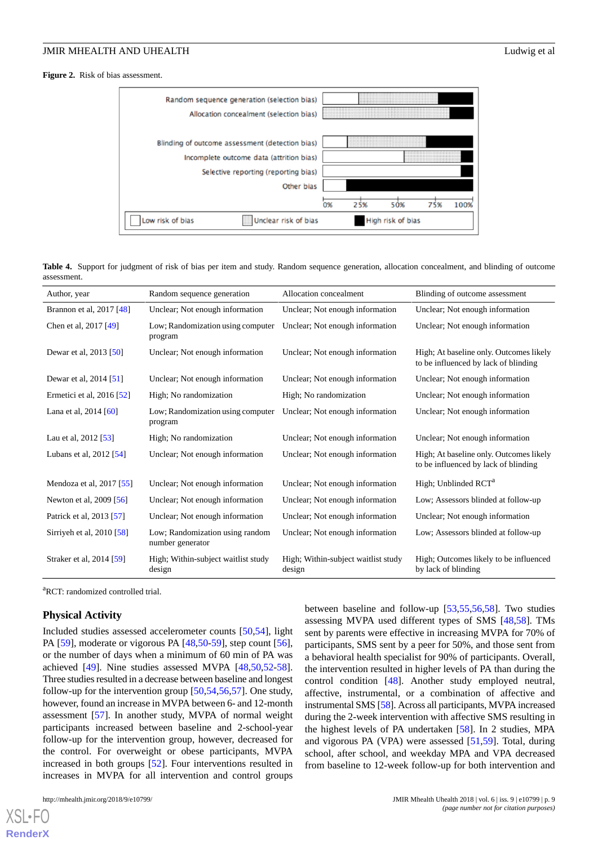<span id="page-8-0"></span>**Figure 2.** Risk of bias assessment.



<span id="page-8-1"></span>**Table 4.** Support for judgment of risk of bias per item and study. Random sequence generation, allocation concealment, and blinding of outcome assessment.

| Author, year              | Random sequence generation                          | Allocation concealment                        | Blinding of outcome assessment                                                  |
|---------------------------|-----------------------------------------------------|-----------------------------------------------|---------------------------------------------------------------------------------|
| Brannon et al, 2017 [48]  | Unclear; Not enough information                     | Unclear; Not enough information               | Unclear; Not enough information                                                 |
| Chen et al, 2017 [49]     | Low; Randomization using computer<br>program        | Unclear; Not enough information               | Unclear; Not enough information                                                 |
| Dewar et al, 2013 [50]    | Unclear; Not enough information                     | Unclear; Not enough information               | High; At baseline only. Outcomes likely<br>to be influenced by lack of blinding |
| Dewar et al, 2014 [51]    | Unclear; Not enough information                     | Unclear; Not enough information               | Unclear; Not enough information                                                 |
| Ermetici et al, 2016 [52] | High; No randomization                              | High; No randomization                        | Unclear; Not enough information                                                 |
| Lana et al, $2014 [60]$   | Low; Randomization using computer<br>program        | Unclear; Not enough information               | Unclear; Not enough information                                                 |
| Lau et al, 2012 [53]      | High; No randomization                              | Unclear; Not enough information               | Unclear; Not enough information                                                 |
| Lubans et al, 2012 [54]   | Unclear; Not enough information                     | Unclear; Not enough information               | High; At baseline only. Outcomes likely<br>to be influenced by lack of blinding |
| Mendoza et al, 2017 [55]  | Unclear; Not enough information                     | Unclear; Not enough information               | High; Unblinded RCT <sup>a</sup>                                                |
| Newton et al, 2009 [56]   | Unclear; Not enough information                     | Unclear; Not enough information               | Low; Assessors blinded at follow-up                                             |
| Patrick et al, 2013 [57]  | Unclear; Not enough information                     | Unclear; Not enough information               | Unclear; Not enough information                                                 |
| Sirriyeh et al, 2010 [58] | Low; Randomization using random<br>number generator | Unclear; Not enough information               | Low; Assessors blinded at follow-up                                             |
| Straker et al, 2014 [59]  | High; Within-subject waitlist study<br>design       | High; Within-subject waitlist study<br>design | High; Outcomes likely to be influenced<br>by lack of blinding                   |

<sup>a</sup>RCT: randomized controlled trial.

#### **Physical Activity**

Included studies assessed accelerometer counts [[50,](#page-15-19)[54](#page-16-2)], light PA [\[59](#page-16-0)], moderate or vigorous PA [[48,](#page-15-17)[50](#page-15-19)-[59\]](#page-16-0), step count [[56\]](#page-16-7), or the number of days when a minimum of 60 min of PA was achieved [[49\]](#page-15-18). Nine studies assessed MVPA [[48,](#page-15-17)[50](#page-15-19)[,52](#page-16-4)-[58\]](#page-16-9). Three studies resulted in a decrease between baseline and longest follow-up for the intervention group [\[50](#page-15-19),[54,](#page-16-2)[56](#page-16-7),[57\]](#page-16-5). One study, however, found an increase in MVPA between 6- and 12-month assessment [\[57](#page-16-5)]. In another study, MVPA of normal weight participants increased between baseline and 2-school-year follow-up for the intervention group, however, decreased for the control. For overweight or obese participants, MVPA increased in both groups [[52\]](#page-16-4). Four interventions resulted in increases in MVPA for all intervention and control groups

[XSL](http://www.w3.org/Style/XSL)•FO **[RenderX](http://www.renderx.com/)**

between baseline and follow-up [\[53](#page-16-6),[55,](#page-16-8)[56](#page-16-7)[,58](#page-16-9)]. Two studies assessing MVPA used different types of SMS [[48,](#page-15-17)[58](#page-16-9)]. TMs sent by parents were effective in increasing MVPA for 70% of participants, SMS sent by a peer for 50%, and those sent from a behavioral health specialist for 90% of participants. Overall, the intervention resulted in higher levels of PA than during the control condition [\[48](#page-15-17)]. Another study employed neutral, affective, instrumental, or a combination of affective and instrumental SMS [\[58\]](#page-16-9). Across all participants, MVPA increased during the 2-week intervention with affective SMS resulting in the highest levels of PA undertaken [[58\]](#page-16-9). In 2 studies, MPA and vigorous PA (VPA) were assessed [\[51](#page-16-1),[59\]](#page-16-0). Total, during school, after school, and weekday MPA and VPA decreased from baseline to 12-week follow-up for both intervention and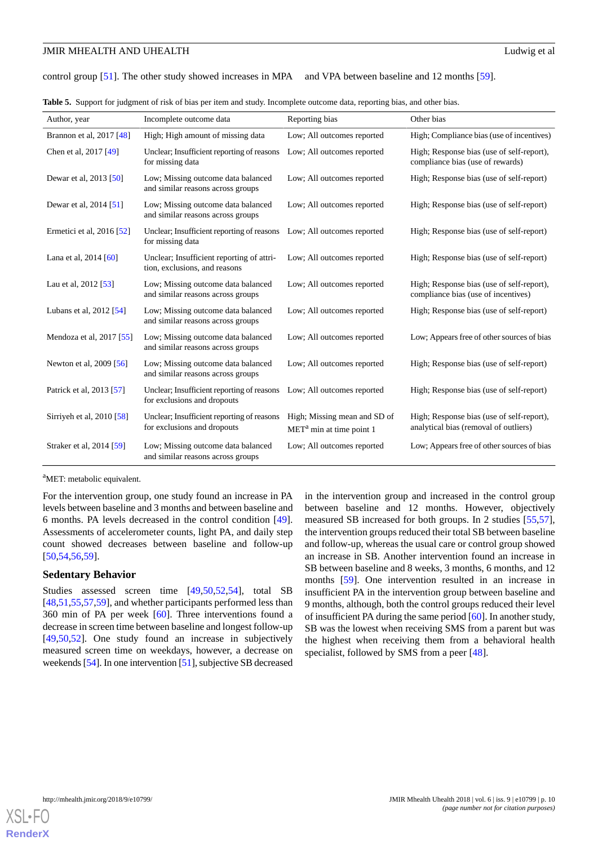control group [\[51](#page-16-1)]. The other study showed increases in MPA and VPA between baseline and 12 months [[59\]](#page-16-0).

<span id="page-9-0"></span>**Table 5.** Support for judgment of risk of bias per item and study. Incomplete outcome data, reporting bias, and other bias.

| Author, year              | Incomplete outcome data                                                    | Reporting bias                                             | Other bias                                                                         |
|---------------------------|----------------------------------------------------------------------------|------------------------------------------------------------|------------------------------------------------------------------------------------|
| Brannon et al, 2017 [48]  | High; High amount of missing data                                          | Low; All outcomes reported                                 | High; Compliance bias (use of incentives)                                          |
| Chen et al, 2017 [49]     | Unclear; Insufficient reporting of reasons<br>for missing data             | Low; All outcomes reported                                 | High; Response bias (use of self-report),<br>compliance bias (use of rewards)      |
| Dewar et al, 2013 [50]    | Low; Missing outcome data balanced<br>and similar reasons across groups    | Low; All outcomes reported                                 | High; Response bias (use of self-report)                                           |
| Dewar et al, 2014 [51]    | Low; Missing outcome data balanced<br>and similar reasons across groups    | Low; All outcomes reported                                 | High; Response bias (use of self-report)                                           |
| Ermetici et al, 2016 [52] | Unclear; Insufficient reporting of reasons<br>for missing data             | Low; All outcomes reported                                 | High; Response bias (use of self-report)                                           |
| Lana et al, 2014 [60]     | Unclear; Insufficient reporting of attri-<br>tion, exclusions, and reasons | Low; All outcomes reported                                 | High; Response bias (use of self-report)                                           |
| Lau et al, 2012 [53]      | Low; Missing outcome data balanced<br>and similar reasons across groups    | Low; All outcomes reported                                 | High; Response bias (use of self-report),<br>compliance bias (use of incentives)   |
| Lubans et al, 2012 [54]   | Low; Missing outcome data balanced<br>and similar reasons across groups    | Low; All outcomes reported                                 | High; Response bias (use of self-report)                                           |
| Mendoza et al, 2017 [55]  | Low; Missing outcome data balanced<br>and similar reasons across groups    | Low; All outcomes reported                                 | Low; Appears free of other sources of bias                                         |
| Newton et al, 2009 [56]   | Low; Missing outcome data balanced<br>and similar reasons across groups    | Low; All outcomes reported                                 | High; Response bias (use of self-report)                                           |
| Patrick et al, 2013 [57]  | Unclear; Insufficient reporting of reasons<br>for exclusions and dropouts  | Low; All outcomes reported                                 | High; Response bias (use of self-report)                                           |
| Sirriyeh et al, 2010 [58] | Unclear; Insufficient reporting of reasons<br>for exclusions and dropouts  | High; Missing mean and SD of<br>$METa$ min at time point 1 | High; Response bias (use of self-report),<br>analytical bias (removal of outliers) |
| Straker et al, 2014 [59]  | Low; Missing outcome data balanced<br>and similar reasons across groups    | Low; All outcomes reported                                 | Low; Appears free of other sources of bias                                         |

<sup>a</sup>MET: metabolic equivalent.

For the intervention group, one study found an increase in PA levels between baseline and 3 months and between baseline and 6 months. PA levels decreased in the control condition [[49\]](#page-15-18). Assessments of accelerometer counts, light PA, and daily step count showed decreases between baseline and follow-up [[50](#page-15-19)[,54](#page-16-2),[56](#page-16-7)[,59](#page-16-0)].

### **Sedentary Behavior**

Studies assessed screen time [[49,](#page-15-18)[50](#page-15-19),[52,](#page-16-4)[54](#page-16-2)], total SB [[48](#page-15-17)[,51](#page-16-1),[55](#page-16-8)[,57](#page-16-5),[59\]](#page-16-0), and whether participants performed less than 360 min of PA per week [[60\]](#page-16-3). Three interventions found a decrease in screen time between baseline and longest follow-up [[49](#page-15-18)[,50](#page-15-19),[52\]](#page-16-4). One study found an increase in subjectively measured screen time on weekdays, however, a decrease on weekends [\[54\]](#page-16-2). In one intervention [\[51\]](#page-16-1), subjective SB decreased in the intervention group and increased in the control group between baseline and 12 months. However, objectively measured SB increased for both groups. In 2 studies [\[55](#page-16-8),[57\]](#page-16-5), the intervention groups reduced their total SB between baseline and follow-up, whereas the usual care or control group showed an increase in SB. Another intervention found an increase in SB between baseline and 8 weeks, 3 months, 6 months, and 12 months [\[59](#page-16-0)]. One intervention resulted in an increase in insufficient PA in the intervention group between baseline and 9 months, although, both the control groups reduced their level of insufficient PA during the same period [[60\]](#page-16-3). In another study, SB was the lowest when receiving SMS from a parent but was the highest when receiving them from a behavioral health specialist, followed by SMS from a peer [[48\]](#page-15-17).

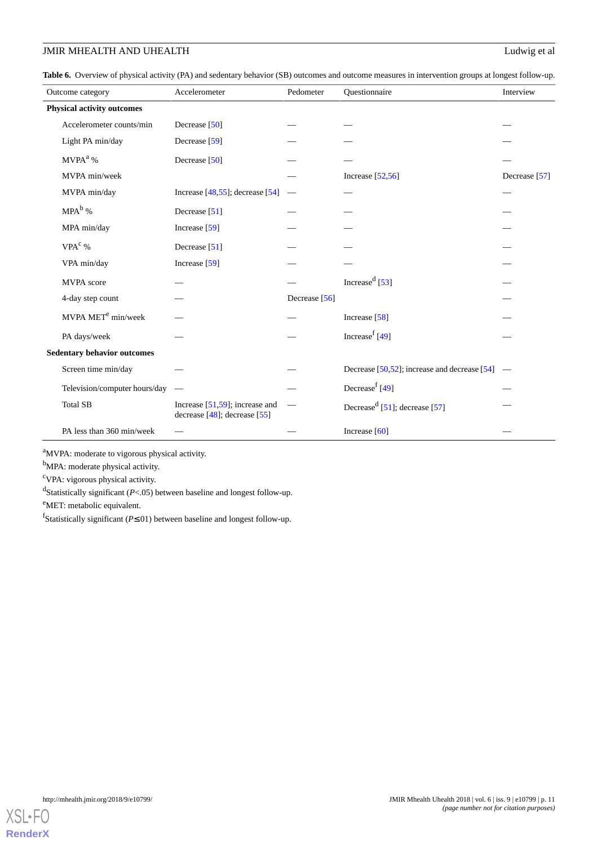<span id="page-10-0"></span>**Table 6.** Overview of physical activity (PA) and sedentary behavior (SB) outcomes and outcome measures in intervention groups at longest follow-up.

|                                   | Outcome category                   | Accelerometer                                                          | Pedometer     | Questionnaire                                      | Interview     |  |
|-----------------------------------|------------------------------------|------------------------------------------------------------------------|---------------|----------------------------------------------------|---------------|--|
| <b>Physical activity outcomes</b> |                                    |                                                                        |               |                                                    |               |  |
|                                   | Accelerometer counts/min           | Decrease [50]                                                          |               |                                                    |               |  |
|                                   | Light PA min/day                   | Decrease [59]                                                          |               |                                                    |               |  |
|                                   | $MVPA^a$ %                         | Decrease [50]                                                          |               |                                                    |               |  |
|                                   | MVPA min/week                      |                                                                        |               | Increase $[52,56]$                                 | Decrease [57] |  |
|                                   | MVPA min/day                       | Increase $[48,55]$ ; decrease $[54]$                                   |               |                                                    |               |  |
|                                   | $MPA^b$ %                          | Decrease [51]                                                          |               |                                                    |               |  |
|                                   | MPA min/day                        | Increase $[59]$                                                        |               |                                                    |               |  |
|                                   | VPA <sup>c</sup> %                 | Decrease [51]                                                          |               |                                                    |               |  |
|                                   | VPA min/day                        | Increase $[59]$                                                        |               |                                                    |               |  |
|                                   | MVPA score                         |                                                                        |               | Increase <sup>d</sup> [53]                         |               |  |
|                                   | 4-day step count                   |                                                                        | Decrease [56] |                                                    |               |  |
|                                   | MVPA MET <sup>e</sup> min/week     |                                                                        |               | Increase [58]                                      |               |  |
|                                   | PA days/week                       |                                                                        |               | Increase <sup>f</sup> [49]                         |               |  |
|                                   | <b>Sedentary behavior outcomes</b> |                                                                        |               |                                                    |               |  |
|                                   | Screen time min/day                |                                                                        |               | Decrease $[50, 52]$ ; increase and decrease $[54]$ |               |  |
|                                   | Television/computer hours/day      | $\hspace{0.1mm}$                                                       |               | Decrease <sup>f</sup> [49]                         |               |  |
|                                   | <b>Total SB</b>                    | Increase $[51,59]$ ; increase and<br>decrease $[48]$ ; decrease $[55]$ |               | Decrease <sup>d</sup> [51]; decrease [57]          |               |  |
|                                   | PA less than 360 min/week          |                                                                        |               | Increase $[60]$                                    |               |  |

<sup>a</sup>MVPA: moderate to vigorous physical activity.

b<sub>MPA:</sub> moderate physical activity.

<sup>c</sup>VPA: vigorous physical activity.

d Statistically significant (*P*<.05) between baseline and longest follow-up.

<sup>e</sup>MET: metabolic equivalent.

f Statistically significant (*P*≤.01) between baseline and longest follow-up.

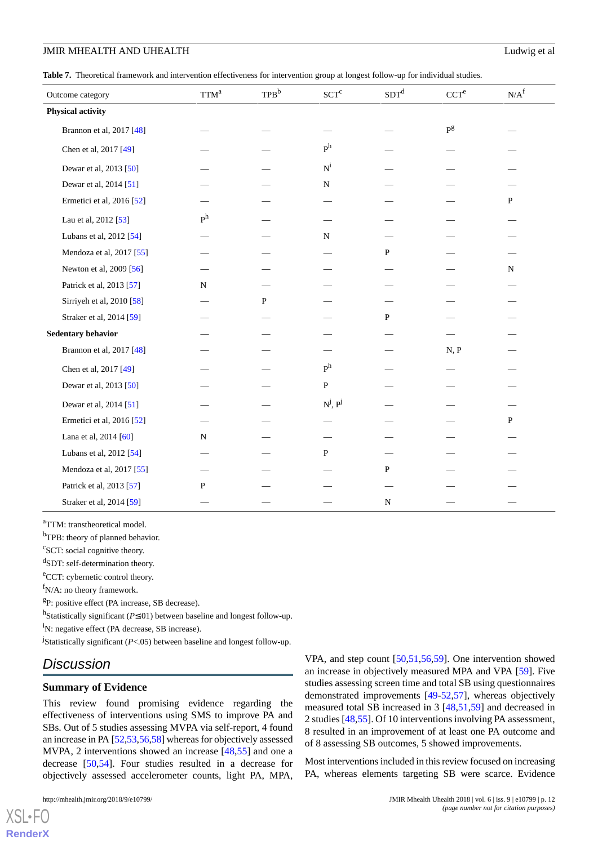<span id="page-11-0"></span>**Table 7.** Theoretical framework and intervention effectiveness for intervention group at longest follow-up for individual studies.

| Outcome category          | $TTM^a$        | TPB <sup>b</sup> | $SCT^c$                 | SDT <sup>d</sup> | CCT <sup>e</sup>        | $N/A^{\rm f}$ |
|---------------------------|----------------|------------------|-------------------------|------------------|-------------------------|---------------|
| <b>Physical activity</b>  |                |                  |                         |                  |                         |               |
| Brannon et al, 2017 [48]  |                |                  |                         |                  | $\mathbf{P}^\mathrm{g}$ |               |
| Chen et al, 2017 [49]     |                |                  | P <sup>h</sup>          |                  |                         |               |
| Dewar et al, 2013 [50]    |                |                  | $\mathbf{N}^{\text{i}}$ |                  |                         |               |
| Dewar et al, 2014 [51]    |                |                  | ${\bf N}$               |                  |                         |               |
| Ermetici et al, 2016 [52] |                |                  |                         |                  |                         | $\, {\bf P}$  |
| Lau et al, 2012 [53]      | P <sup>h</sup> |                  |                         |                  |                         |               |
| Lubans et al, 2012 [54]   |                |                  | ${\bf N}$               |                  |                         |               |
| Mendoza et al, 2017 [55]  |                |                  |                         | P                |                         |               |
| Newton et al, 2009 [56]   |                |                  |                         |                  |                         | $\mathbf N$   |
| Patrick et al, 2013 [57]  | N              |                  |                         |                  |                         |               |
| Sirriyeh et al, 2010 [58] |                | ${\bf P}$        |                         |                  |                         |               |
| Straker et al, 2014 [59]  |                |                  |                         | $\mathbf{P}$     |                         |               |
| Sedentary behavior        |                |                  |                         |                  |                         |               |
| Brannon et al, 2017 [48]  |                |                  |                         |                  | N, P                    |               |
| Chen et al, 2017 [49]     |                |                  | P <sup>h</sup>          |                  |                         |               |
| Dewar et al, 2013 [50]    |                |                  | ${\bf P}$               |                  |                         |               |
| Dewar et al, 2014 [51]    |                |                  | $N^j$ , $P^j$           |                  |                         |               |
| Ermetici et al, 2016 [52] |                |                  |                         |                  |                         | P             |
| Lana et al, 2014 [60]     | N              |                  |                         |                  |                         |               |
| Lubans et al, 2012 [54]   |                |                  | P                       |                  |                         |               |
| Mendoza et al, 2017 [55]  |                |                  |                         | $\, {\bf P}$     |                         |               |
| Patrick et al, 2013 [57]  | $\mathbf{P}$   |                  |                         |                  |                         |               |
| Straker et al, 2014 [59]  |                |                  |                         | ${\bf N}$        |                         |               |

<sup>a</sup>TTM: transtheoretical model.

<sup>b</sup>TPB: theory of planned behavior.

<sup>c</sup>SCT: social cognitive theory.

d SDT: self-determination theory.

<sup>e</sup>CCT: cybernetic control theory.

 $f_{N/A}$ : no theory framework.

<sup>g</sup>P: positive effect (PA increase, SB decrease).

h Statistically significant (*P*≤.01) between baseline and longest follow-up.

<sup>i</sup>N: negative effect (PA decrease, SB increase).

j Statistically significant (*P*<.05) between baseline and longest follow-up.

# *Discussion*

#### **Summary of Evidence**

This review found promising evidence regarding the effectiveness of interventions using SMS to improve PA and SBs. Out of 5 studies assessing MVPA via self-report, 4 found an increase in PA [\[52](#page-16-4)[,53](#page-16-6),[56](#page-16-7),[58\]](#page-16-9) whereas for objectively assessed MVPA, 2 interventions showed an increase [[48,](#page-15-17)[55](#page-16-8)] and one a decrease [\[50](#page-15-19),[54\]](#page-16-2). Four studies resulted in a decrease for objectively assessed accelerometer counts, light PA, MPA,

[XSL](http://www.w3.org/Style/XSL)•FO **[RenderX](http://www.renderx.com/)** VPA, and step count [\[50](#page-15-19),[51](#page-16-1)[,56](#page-16-7),[59\]](#page-16-0). One intervention showed an increase in objectively measured MPA and VPA [[59\]](#page-16-0). Five studies assessing screen time and total SB using questionnaires demonstrated improvements [\[49](#page-15-18)[-52](#page-16-4),[57\]](#page-16-5), whereas objectively measured total SB increased in 3 [[48](#page-15-17)[,51](#page-16-1),[59\]](#page-16-0) and decreased in 2 studies [[48,](#page-15-17)[55](#page-16-8)]. Of 10 interventions involving PA assessment, 8 resulted in an improvement of at least one PA outcome and of 8 assessing SB outcomes, 5 showed improvements.

Most interventions included in this review focused on increasing PA, whereas elements targeting SB were scarce. Evidence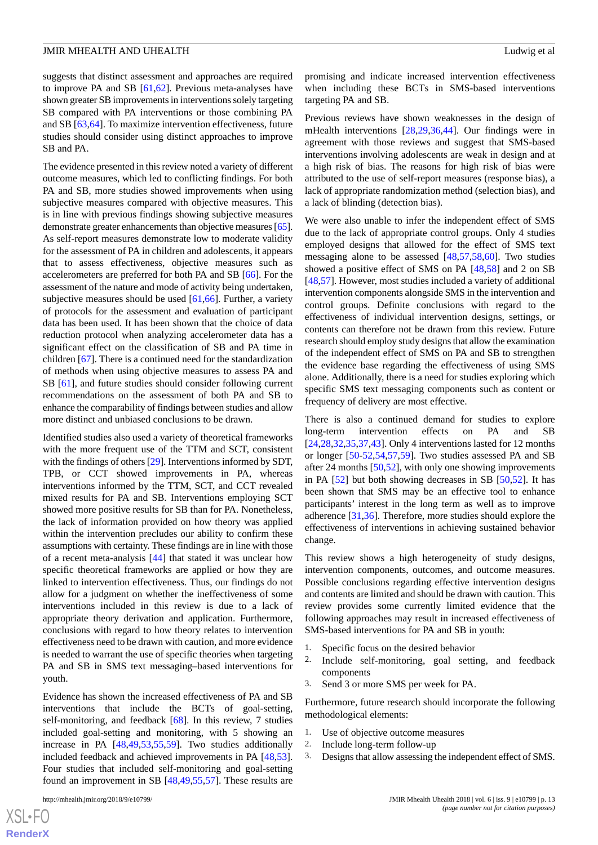suggests that distinct assessment and approaches are required to improve PA and SB [[61](#page-16-10)[,62](#page-16-11)]. Previous meta-analyses have shown greater SB improvements in interventions solely targeting SB compared with PA interventions or those combining PA and SB [[63](#page-16-12)[,64](#page-16-13)]. To maximize intervention effectiveness, future studies should consider using distinct approaches to improve SB and PA.

The evidence presented in this review noted a variety of different outcome measures, which led to conflicting findings. For both PA and SB, more studies showed improvements when using subjective measures compared with objective measures. This is in line with previous findings showing subjective measures demonstrate greater enhancements than objective measures [\[65\]](#page-16-14). As self-report measures demonstrate low to moderate validity for the assessment of PA in children and adolescents, it appears that to assess effectiveness, objective measures such as accelerometers are preferred for both PA and SB [\[66](#page-16-15)]. For the assessment of the nature and mode of activity being undertaken, subjective measures should be used [[61,](#page-16-10)[66\]](#page-16-15). Further, a variety of protocols for the assessment and evaluation of participant data has been used. It has been shown that the choice of data reduction protocol when analyzing accelerometer data has a significant effect on the classification of SB and PA time in children [[67\]](#page-16-16). There is a continued need for the standardization of methods when using objective measures to assess PA and SB [\[61](#page-16-10)], and future studies should consider following current recommendations on the assessment of both PA and SB to enhance the comparability of findings between studies and allow more distinct and unbiased conclusions to be drawn.

Identified studies also used a variety of theoretical frameworks with the more frequent use of the TTM and SCT, consistent with the findings of others [[29\]](#page-15-3). Interventions informed by SDT, TPB, or CCT showed improvements in PA, whereas interventions informed by the TTM, SCT, and CCT revealed mixed results for PA and SB. Interventions employing SCT showed more positive results for SB than for PA. Nonetheless, the lack of information provided on how theory was applied within the intervention precludes our ability to confirm these assumptions with certainty. These findings are in line with those of a recent meta-analysis [[44\]](#page-15-13) that stated it was unclear how specific theoretical frameworks are applied or how they are linked to intervention effectiveness. Thus, our findings do not allow for a judgment on whether the ineffectiveness of some interventions included in this review is due to a lack of appropriate theory derivation and application. Furthermore, conclusions with regard to how theory relates to intervention effectiveness need to be drawn with caution, and more evidence is needed to warrant the use of specific theories when targeting PA and SB in SMS text messaging–based interventions for youth.

Evidence has shown the increased effectiveness of PA and SB interventions that include the BCTs of goal-setting, self-monitoring, and feedback [[68\]](#page-16-17). In this review, 7 studies included goal-setting and monitoring, with 5 showing an increase in PA [[48,](#page-15-17)[49](#page-15-18)[,53](#page-16-6)[,55](#page-16-8),[59\]](#page-16-0). Two studies additionally included feedback and achieved improvements in PA [\[48](#page-15-17),[53\]](#page-16-6). Four studies that included self-monitoring and goal-setting found an improvement in SB [[48](#page-15-17)[,49](#page-15-18),[55](#page-16-8)[,57](#page-16-5)]. These results are

[XSL](http://www.w3.org/Style/XSL)•FO **[RenderX](http://www.renderx.com/)** Previous reviews have shown weaknesses in the design of mHealth interventions [[28,](#page-15-20)[29](#page-15-3),[36,](#page-15-2)[44](#page-15-13)]. Our findings were in agreement with those reviews and suggest that SMS-based interventions involving adolescents are weak in design and at a high risk of bias. The reasons for high risk of bias were attributed to the use of self-report measures (response bias), a lack of appropriate randomization method (selection bias), and a lack of blinding (detection bias).

We were also unable to infer the independent effect of SMS due to the lack of appropriate control groups. Only 4 studies employed designs that allowed for the effect of SMS text messaging alone to be assessed [[48,](#page-15-17)[57,](#page-16-5)[58](#page-16-9)[,60](#page-16-3)]. Two studies showed a positive effect of SMS on PA [\[48](#page-15-17),[58\]](#page-16-9) and 2 on SB [[48,](#page-15-17)[57\]](#page-16-5). However, most studies included a variety of additional intervention components alongside SMS in the intervention and control groups. Definite conclusions with regard to the effectiveness of individual intervention designs, settings, or contents can therefore not be drawn from this review. Future research should employ study designs that allow the examination of the independent effect of SMS on PA and SB to strengthen the evidence base regarding the effectiveness of using SMS alone. Additionally, there is a need for studies exploring which specific SMS text messaging components such as content or frequency of delivery are most effective.

There is also a continued demand for studies to explore long-term intervention effects on PA and SB [[24,](#page-14-15)[28,](#page-15-20)[32](#page-15-0)[,35](#page-15-21),[37,](#page-15-6)[43\]](#page-15-12). Only 4 interventions lasted for 12 months or longer [[50-](#page-15-19)[52](#page-16-4),[54,](#page-16-2)[57](#page-16-5),[59\]](#page-16-0). Two studies assessed PA and SB after 24 months [[50](#page-15-19)[,52](#page-16-4)], with only one showing improvements in PA [[52\]](#page-16-4) but both showing decreases in SB [[50](#page-15-19)[,52](#page-16-4)]. It has been shown that SMS may be an effective tool to enhance participants' interest in the long term as well as to improve adherence [\[31](#page-15-22),[36\]](#page-15-2). Therefore, more studies should explore the effectiveness of interventions in achieving sustained behavior change.

This review shows a high heterogeneity of study designs, intervention components, outcomes, and outcome measures. Possible conclusions regarding effective intervention designs and contents are limited and should be drawn with caution. This review provides some currently limited evidence that the following approaches may result in increased effectiveness of SMS-based interventions for PA and SB in youth:

- 1. Specific focus on the desired behavior
- 2. Include self-monitoring, goal setting, and feedback components
- 3. Send 3 or more SMS per week for PA.

Furthermore, future research should incorporate the following methodological elements:

- 1. Use of objective outcome measures
- 2. Include long-term follow-up
- 3. Designs that allow assessing the independent effect of SMS.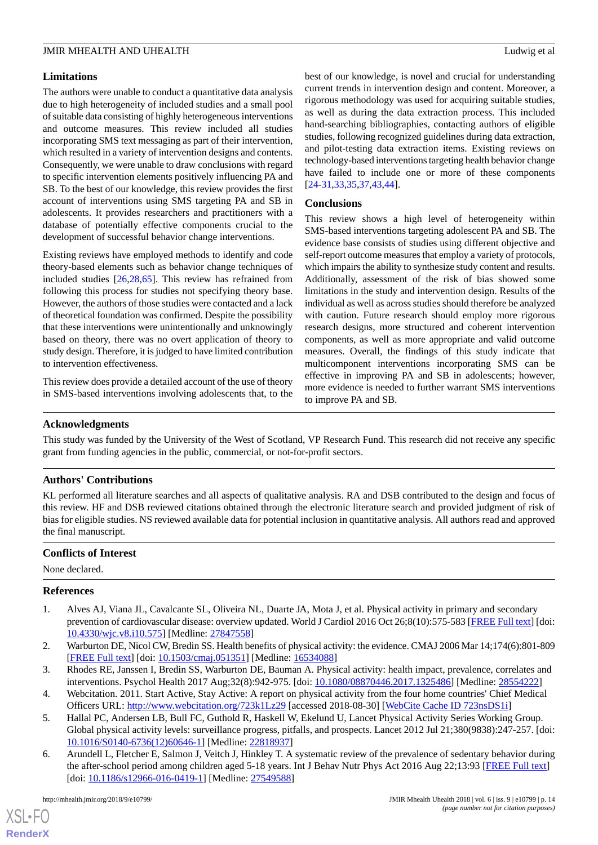# **Limitations**

The authors were unable to conduct a quantitative data analysis due to high heterogeneity of included studies and a small pool of suitable data consisting of highly heterogeneous interventions and outcome measures. This review included all studies incorporating SMS text messaging as part of their intervention, which resulted in a variety of intervention designs and contents. Consequently, we were unable to draw conclusions with regard to specific intervention elements positively influencing PA and SB. To the best of our knowledge, this review provides the first account of interventions using SMS targeting PA and SB in adolescents. It provides researchers and practitioners with a database of potentially effective components crucial to the development of successful behavior change interventions.

Existing reviews have employed methods to identify and code theory-based elements such as behavior change techniques of included studies [\[26](#page-14-18),[28,](#page-15-20)[65\]](#page-16-14). This review has refrained from following this process for studies not specifying theory base. However, the authors of those studies were contacted and a lack of theoretical foundation was confirmed. Despite the possibility that these interventions were unintentionally and unknowingly based on theory, there was no overt application of theory to study design. Therefore, it is judged to have limited contribution to intervention effectiveness.

This review does provide a detailed account of the use of theory in SMS-based interventions involving adolescents that, to the

best of our knowledge, is novel and crucial for understanding current trends in intervention design and content. Moreover, a rigorous methodology was used for acquiring suitable studies, as well as during the data extraction process. This included hand-searching bibliographies, contacting authors of eligible studies, following recognized guidelines during data extraction, and pilot-testing data extraction items. Existing reviews on technology-based interventions targeting health behavior change have failed to include one or more of these components [[24](#page-14-15)[-31](#page-15-22),[33](#page-15-1)[,35](#page-15-21),[37](#page-15-6)[,43](#page-15-12),[44\]](#page-15-13).

### **Conclusions**

This review shows a high level of heterogeneity within SMS-based interventions targeting adolescent PA and SB. The evidence base consists of studies using different objective and self-report outcome measures that employ a variety of protocols, which impairs the ability to synthesize study content and results. Additionally, assessment of the risk of bias showed some limitations in the study and intervention design. Results of the individual as well as across studies should therefore be analyzed with caution. Future research should employ more rigorous research designs, more structured and coherent intervention components, as well as more appropriate and valid outcome measures. Overall, the findings of this study indicate that multicomponent interventions incorporating SMS can be effective in improving PA and SB in adolescents; however, more evidence is needed to further warrant SMS interventions to improve PA and SB.

#### **Acknowledgments**

This study was funded by the University of the West of Scotland, VP Research Fund. This research did not receive any specific grant from funding agencies in the public, commercial, or not-for-profit sectors.

# **Authors' Contributions**

KL performed all literature searches and all aspects of qualitative analysis. RA and DSB contributed to the design and focus of this review. HF and DSB reviewed citations obtained through the electronic literature search and provided judgment of risk of bias for eligible studies. NS reviewed available data for potential inclusion in quantitative analysis. All authors read and approved the final manuscript.

#### <span id="page-13-0"></span>**Conflicts of Interest**

None declared.

#### <span id="page-13-1"></span>**References**

- <span id="page-13-3"></span><span id="page-13-2"></span>1. Alves AJ, Viana JL, Cavalcante SL, Oliveira NL, Duarte JA, Mota J, et al. Physical activity in primary and secondary prevention of cardiovascular disease: overview updated. World J Cardiol 2016 Oct 26;8(10):575-583 [\[FREE Full text](http://www.wjgnet.com/1949-8462/full/v8/i10/575.htm)] [doi: [10.4330/wjc.v8.i10.575\]](http://dx.doi.org/10.4330/wjc.v8.i10.575) [Medline: [27847558](http://www.ncbi.nlm.nih.gov/entrez/query.fcgi?cmd=Retrieve&db=PubMed&list_uids=27847558&dopt=Abstract)]
- <span id="page-13-4"></span>2. Warburton DE, Nicol CW, Bredin SS. Health benefits of physical activity: the evidence. CMAJ 2006 Mar 14;174(6):801-809 [[FREE Full text](http://www.cmaj.ca/cgi/pmidlookup?view=long&pmid=16534088)] [doi: [10.1503/cmaj.051351\]](http://dx.doi.org/10.1503/cmaj.051351) [Medline: [16534088](http://www.ncbi.nlm.nih.gov/entrez/query.fcgi?cmd=Retrieve&db=PubMed&list_uids=16534088&dopt=Abstract)]
- <span id="page-13-5"></span>3. Rhodes RE, Janssen I, Bredin SS, Warburton DE, Bauman A. Physical activity: health impact, prevalence, correlates and interventions. Psychol Health 2017 Aug;32(8):942-975. [doi: [10.1080/08870446.2017.1325486\]](http://dx.doi.org/10.1080/08870446.2017.1325486) [Medline: [28554222\]](http://www.ncbi.nlm.nih.gov/entrez/query.fcgi?cmd=Retrieve&db=PubMed&list_uids=28554222&dopt=Abstract)
- 4. Webcitation. 2011. Start Active, Stay Active: A report on physical activity from the four home countries' Chief Medical Officers URL: <http://www.webcitation.org/723k1Lz29> [accessed 2018-08-30] [[WebCite Cache ID 723nsDS1i](http://www.webcitation.org/

                                723nsDS1i)]
- 5. Hallal PC, Andersen LB, Bull FC, Guthold R, Haskell W, Ekelund U, Lancet Physical Activity Series Working Group. Global physical activity levels: surveillance progress, pitfalls, and prospects. Lancet 2012 Jul 21;380(9838):247-257. [doi: [10.1016/S0140-6736\(12\)60646-1\]](http://dx.doi.org/10.1016/S0140-6736(12)60646-1) [Medline: [22818937](http://www.ncbi.nlm.nih.gov/entrez/query.fcgi?cmd=Retrieve&db=PubMed&list_uids=22818937&dopt=Abstract)]
- 6. Arundell L, Fletcher E, Salmon J, Veitch J, Hinkley T. A systematic review of the prevalence of sedentary behavior during the after-school period among children aged 5-18 years. Int J Behav Nutr Phys Act 2016 Aug 22;13:93 [[FREE Full text](https://ijbnpa.biomedcentral.com/articles/10.1186/s12966-016-0419-1)] [doi: [10.1186/s12966-016-0419-1](http://dx.doi.org/10.1186/s12966-016-0419-1)] [Medline: [27549588\]](http://www.ncbi.nlm.nih.gov/entrez/query.fcgi?cmd=Retrieve&db=PubMed&list_uids=27549588&dopt=Abstract)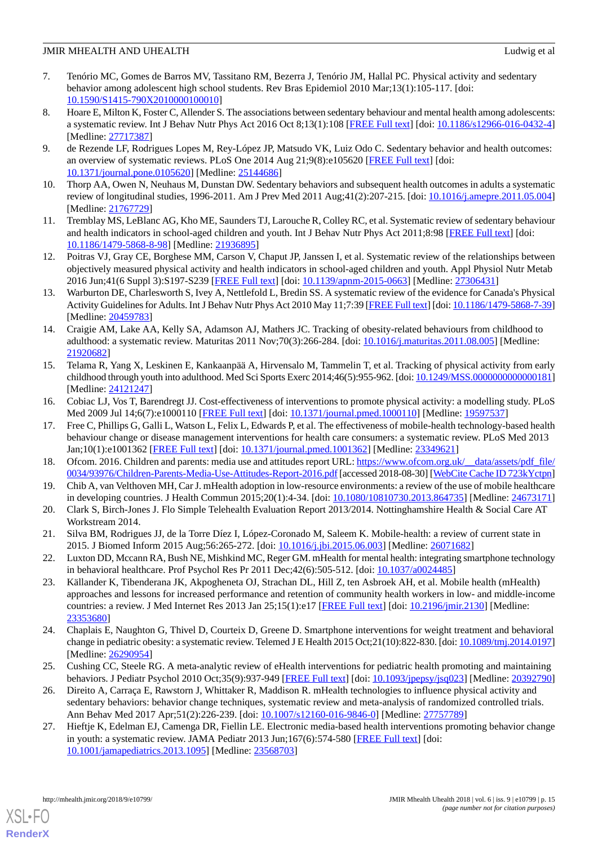- <span id="page-14-0"></span>7. Tenório MC, Gomes de Barros MV, Tassitano RM, Bezerra J, Tenório JM, Hallal PC. Physical activity and sedentary behavior among adolescent high school students. Rev Bras Epidemiol 2010 Mar;13(1):105-117. [doi: [10.1590/S1415-790X2010000100010\]](http://dx.doi.org/10.1590/S1415-790X2010000100010)
- <span id="page-14-1"></span>8. Hoare E, Milton K, Foster C, Allender S. The associations between sedentary behaviour and mental health among adolescents: a systematic review. Int J Behav Nutr Phys Act 2016 Oct 8;13(1):108 [\[FREE Full text](https://ijbnpa.biomedcentral.com/articles/10.1186/s12966-016-0432-4)] [doi: [10.1186/s12966-016-0432-4](http://dx.doi.org/10.1186/s12966-016-0432-4)] [Medline: [27717387](http://www.ncbi.nlm.nih.gov/entrez/query.fcgi?cmd=Retrieve&db=PubMed&list_uids=27717387&dopt=Abstract)]
- 9. de Rezende LF, Rodrigues Lopes M, Rey-López JP, Matsudo VK, Luiz Odo C. Sedentary behavior and health outcomes: an overview of systematic reviews. PLoS One 2014 Aug 21;9(8):e105620 [\[FREE Full text\]](http://dx.plos.org/10.1371/journal.pone.0105620) [doi: [10.1371/journal.pone.0105620\]](http://dx.doi.org/10.1371/journal.pone.0105620) [Medline: [25144686](http://www.ncbi.nlm.nih.gov/entrez/query.fcgi?cmd=Retrieve&db=PubMed&list_uids=25144686&dopt=Abstract)]
- <span id="page-14-2"></span>10. Thorp AA, Owen N, Neuhaus M, Dunstan DW. Sedentary behaviors and subsequent health outcomes in adults a systematic review of longitudinal studies, 1996-2011. Am J Prev Med 2011 Aug;41(2):207-215. [doi: [10.1016/j.amepre.2011.05.004](http://dx.doi.org/10.1016/j.amepre.2011.05.004)] [Medline: [21767729](http://www.ncbi.nlm.nih.gov/entrez/query.fcgi?cmd=Retrieve&db=PubMed&list_uids=21767729&dopt=Abstract)]
- <span id="page-14-3"></span>11. Tremblay MS, LeBlanc AG, Kho ME, Saunders TJ, Larouche R, Colley RC, et al. Systematic review of sedentary behaviour and health indicators in school-aged children and youth. Int J Behav Nutr Phys Act 2011;8:98 [\[FREE Full text\]](http://www.ijbnpa.org/content/8//98) [doi: [10.1186/1479-5868-8-98\]](http://dx.doi.org/10.1186/1479-5868-8-98) [Medline: [21936895\]](http://www.ncbi.nlm.nih.gov/entrez/query.fcgi?cmd=Retrieve&db=PubMed&list_uids=21936895&dopt=Abstract)
- <span id="page-14-4"></span>12. Poitras VJ, Gray CE, Borghese MM, Carson V, Chaput JP, Janssen I, et al. Systematic review of the relationships between objectively measured physical activity and health indicators in school-aged children and youth. Appl Physiol Nutr Metab 2016 Jun;41(6 Suppl 3):S197-S239 [[FREE Full text](http://www.nrcresearchpress.com/doi/10.1139/apnm-2015-0663)] [doi: [10.1139/apnm-2015-0663\]](http://dx.doi.org/10.1139/apnm-2015-0663) [Medline: [27306431](http://www.ncbi.nlm.nih.gov/entrez/query.fcgi?cmd=Retrieve&db=PubMed&list_uids=27306431&dopt=Abstract)]
- <span id="page-14-5"></span>13. Warburton DE, Charlesworth S, Ivey A, Nettlefold L, Bredin SS. A systematic review of the evidence for Canada's Physical Activity Guidelines for Adults. Int J Behav Nutr Phys Act 2010 May 11;7:39 [\[FREE Full text\]](https://ijbnpa.biomedcentral.com/articles/10.1186/1479-5868-7-39) [doi: [10.1186/1479-5868-7-39](http://dx.doi.org/10.1186/1479-5868-7-39)] [Medline: [20459783](http://www.ncbi.nlm.nih.gov/entrez/query.fcgi?cmd=Retrieve&db=PubMed&list_uids=20459783&dopt=Abstract)]
- <span id="page-14-6"></span>14. Craigie AM, Lake AA, Kelly SA, Adamson AJ, Mathers JC. Tracking of obesity-related behaviours from childhood to adulthood: a systematic review. Maturitas 2011 Nov;70(3):266-284. [doi: [10.1016/j.maturitas.2011.08.005](http://dx.doi.org/10.1016/j.maturitas.2011.08.005)] [Medline: [21920682](http://www.ncbi.nlm.nih.gov/entrez/query.fcgi?cmd=Retrieve&db=PubMed&list_uids=21920682&dopt=Abstract)]
- <span id="page-14-7"></span>15. Telama R, Yang X, Leskinen E, Kankaanpää A, Hirvensalo M, Tammelin T, et al. Tracking of physical activity from early childhood through youth into adulthood. Med Sci Sports Exerc 2014;46(5):955-962. [doi: [10.1249/MSS.0000000000000181\]](http://dx.doi.org/10.1249/MSS.0000000000000181) [Medline: [24121247](http://www.ncbi.nlm.nih.gov/entrez/query.fcgi?cmd=Retrieve&db=PubMed&list_uids=24121247&dopt=Abstract)]
- <span id="page-14-8"></span>16. Cobiac LJ, Vos T, Barendregt JJ. Cost-effectiveness of interventions to promote physical activity: a modelling study. PLoS Med 2009 Jul 14;6(7):e1000110 [[FREE Full text\]](http://dx.plos.org/10.1371/journal.pmed.1000110) [doi: [10.1371/journal.pmed.1000110\]](http://dx.doi.org/10.1371/journal.pmed.1000110) [Medline: [19597537\]](http://www.ncbi.nlm.nih.gov/entrez/query.fcgi?cmd=Retrieve&db=PubMed&list_uids=19597537&dopt=Abstract)
- <span id="page-14-10"></span><span id="page-14-9"></span>17. Free C, Phillips G, Galli L, Watson L, Felix L, Edwards P, et al. The effectiveness of mobile-health technology-based health behaviour change or disease management interventions for health care consumers: a systematic review. PLoS Med 2013 Jan;10(1):e1001362 [\[FREE Full text\]](http://dx.plos.org/10.1371/journal.pmed.1001362) [doi: [10.1371/journal.pmed.1001362\]](http://dx.doi.org/10.1371/journal.pmed.1001362) [Medline: [23349621\]](http://www.ncbi.nlm.nih.gov/entrez/query.fcgi?cmd=Retrieve&db=PubMed&list_uids=23349621&dopt=Abstract)
- <span id="page-14-11"></span>18. Ofcom. 2016. Children and parents: media use and attitudes report URL: https://www.ofcom.org.uk/ data/assets/pdf\_file/ [0034/93976/Children-Parents-Media-Use-Attitudes-Report-2016.pdf](https://www.ofcom.org.uk/__data/assets/pdf_file/0034/93976/Children-Parents-Media-Use-Attitudes-Report-2016.pdf) [accessed 2018-08-30] [\[WebCite Cache ID 723kYctpn\]](http://www.webcitation.org/

                                723kYctpn)
- <span id="page-14-12"></span>19. Chib A, van Velthoven MH, Car J. mHealth adoption in low-resource environments: a review of the use of mobile healthcare in developing countries. J Health Commun 2015;20(1):4-34. [doi: [10.1080/10810730.2013.864735\]](http://dx.doi.org/10.1080/10810730.2013.864735) [Medline: [24673171](http://www.ncbi.nlm.nih.gov/entrez/query.fcgi?cmd=Retrieve&db=PubMed&list_uids=24673171&dopt=Abstract)]
- <span id="page-14-13"></span>20. Clark S, Birch-Jones J. Flo Simple Telehealth Evaluation Report 2013/2014. Nottinghamshire Health & Social Care AT Workstream 2014.
- <span id="page-14-14"></span>21. Silva BM, Rodrigues JJ, de la Torre Díez I, López-Coronado M, Saleem K. Mobile-health: a review of current state in 2015. J Biomed Inform 2015 Aug;56:265-272. [doi: [10.1016/j.jbi.2015.06.003\]](http://dx.doi.org/10.1016/j.jbi.2015.06.003) [Medline: [26071682\]](http://www.ncbi.nlm.nih.gov/entrez/query.fcgi?cmd=Retrieve&db=PubMed&list_uids=26071682&dopt=Abstract)
- <span id="page-14-15"></span>22. Luxton DD, Mccann RA, Bush NE, Mishkind MC, Reger GM. mHealth for mental health: integrating smartphone technology in behavioral healthcare. Prof Psychol Res Pr 2011 Dec;42(6):505-512. [doi: [10.1037/a0024485](http://dx.doi.org/10.1037/a0024485)]
- <span id="page-14-16"></span>23. Källander K, Tibenderana JK, Akpogheneta OJ, Strachan DL, Hill Z, ten Asbroek AH, et al. Mobile health (mHealth) approaches and lessons for increased performance and retention of community health workers in low- and middle-income countries: a review. J Med Internet Res 2013 Jan 25;15(1):e17 [[FREE Full text](http://www.jmir.org/2013/1/e17/)] [doi: [10.2196/jmir.2130](http://dx.doi.org/10.2196/jmir.2130)] [Medline: [23353680](http://www.ncbi.nlm.nih.gov/entrez/query.fcgi?cmd=Retrieve&db=PubMed&list_uids=23353680&dopt=Abstract)]
- <span id="page-14-18"></span>24. Chaplais E, Naughton G, Thivel D, Courteix D, Greene D. Smartphone interventions for weight treatment and behavioral change in pediatric obesity: a systematic review. Telemed J E Health 2015 Oct;21(10):822-830. [doi: [10.1089/tmj.2014.0197\]](http://dx.doi.org/10.1089/tmj.2014.0197) [Medline: [26290954](http://www.ncbi.nlm.nih.gov/entrez/query.fcgi?cmd=Retrieve&db=PubMed&list_uids=26290954&dopt=Abstract)]
- <span id="page-14-17"></span>25. Cushing CC, Steele RG. A meta-analytic review of eHealth interventions for pediatric health promoting and maintaining behaviors. J Pediatr Psychol 2010 Oct;35(9):937-949 [\[FREE Full text](http://jpepsy.oxfordjournals.org/cgi/pmidlookup?view=long&pmid=20392790)] [doi: [10.1093/jpepsy/jsq023\]](http://dx.doi.org/10.1093/jpepsy/jsq023) [Medline: [20392790](http://www.ncbi.nlm.nih.gov/entrez/query.fcgi?cmd=Retrieve&db=PubMed&list_uids=20392790&dopt=Abstract)]
- 26. Direito A, Carraça E, Rawstorn J, Whittaker R, Maddison R. mHealth technologies to influence physical activity and sedentary behaviors: behavior change techniques, systematic review and meta-analysis of randomized controlled trials. Ann Behav Med 2017 Apr;51(2):226-239. [doi: [10.1007/s12160-016-9846-0](http://dx.doi.org/10.1007/s12160-016-9846-0)] [Medline: [27757789\]](http://www.ncbi.nlm.nih.gov/entrez/query.fcgi?cmd=Retrieve&db=PubMed&list_uids=27757789&dopt=Abstract)
- 27. Hieftje K, Edelman EJ, Camenga DR, Fiellin LE. Electronic media-based health interventions promoting behavior change in youth: a systematic review. JAMA Pediatr 2013 Jun;167(6):574-580 [\[FREE Full text\]](http://europepmc.org/abstract/MED/23568703) [doi: [10.1001/jamapediatrics.2013.1095](http://dx.doi.org/10.1001/jamapediatrics.2013.1095)] [Medline: [23568703\]](http://www.ncbi.nlm.nih.gov/entrez/query.fcgi?cmd=Retrieve&db=PubMed&list_uids=23568703&dopt=Abstract)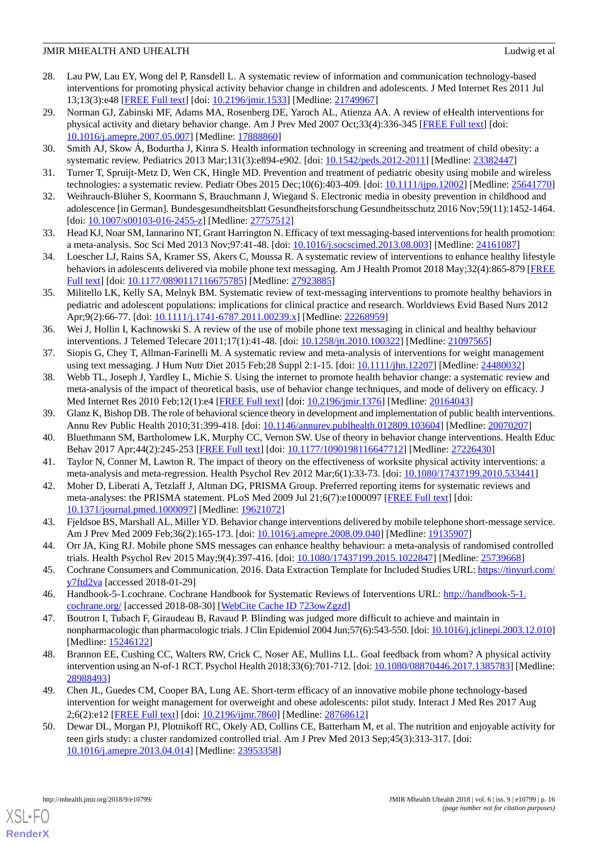- <span id="page-15-20"></span>28. Lau PW, Lau EY, Wong del P, Ransdell L. A systematic review of information and communication technology-based interventions for promoting physical activity behavior change in children and adolescents. J Med Internet Res 2011 Jul 13;13(3):e48 [\[FREE Full text](http://www.jmir.org/2011/3/e48/)] [doi: [10.2196/jmir.1533\]](http://dx.doi.org/10.2196/jmir.1533) [Medline: [21749967](http://www.ncbi.nlm.nih.gov/entrez/query.fcgi?cmd=Retrieve&db=PubMed&list_uids=21749967&dopt=Abstract)]
- <span id="page-15-3"></span>29. Norman GJ, Zabinski MF, Adams MA, Rosenberg DE, Yaroch AL, Atienza AA. A review of eHealth interventions for physical activity and dietary behavior change. Am J Prev Med 2007 Oct;33(4):336-345 [[FREE Full text](http://europepmc.org/abstract/MED/17888860)] [doi: [10.1016/j.amepre.2007.05.007](http://dx.doi.org/10.1016/j.amepre.2007.05.007)] [Medline: [17888860\]](http://www.ncbi.nlm.nih.gov/entrez/query.fcgi?cmd=Retrieve&db=PubMed&list_uids=17888860&dopt=Abstract)
- <span id="page-15-22"></span><span id="page-15-5"></span>30. Smith AJ, Skow Á, Bodurtha J, Kinra S. Health information technology in screening and treatment of child obesity: a systematic review. Pediatrics 2013 Mar;131(3):e894-e902. [doi: [10.1542/peds.2012-2011\]](http://dx.doi.org/10.1542/peds.2012-2011) [Medline: [23382447](http://www.ncbi.nlm.nih.gov/entrez/query.fcgi?cmd=Retrieve&db=PubMed&list_uids=23382447&dopt=Abstract)]
- <span id="page-15-0"></span>31. Turner T, Spruijt-Metz D, Wen CK, Hingle MD. Prevention and treatment of pediatric obesity using mobile and wireless technologies: a systematic review. Pediatr Obes 2015 Dec;10(6):403-409. [doi: [10.1111/ijpo.12002\]](http://dx.doi.org/10.1111/ijpo.12002) [Medline: [25641770](http://www.ncbi.nlm.nih.gov/entrez/query.fcgi?cmd=Retrieve&db=PubMed&list_uids=25641770&dopt=Abstract)]
- <span id="page-15-1"></span>32. Weihrauch-Blüher S, Koormann S, Brauchmann J, Wiegand S. Electronic media in obesity prevention in childhood and adolescence [in German]. Bundesgesundheitsblatt Gesundheitsforschung Gesundheitsschutz 2016 Nov;59(11):1452-1464. [doi: [10.1007/s00103-016-2455-z\]](http://dx.doi.org/10.1007/s00103-016-2455-z) [Medline: [27757512](http://www.ncbi.nlm.nih.gov/entrez/query.fcgi?cmd=Retrieve&db=PubMed&list_uids=27757512&dopt=Abstract)]
- <span id="page-15-4"></span>33. Head KJ, Noar SM, Iannarino NT, Grant Harrington N. Efficacy of text messaging-based interventions for health promotion: a meta-analysis. Soc Sci Med 2013 Nov;97:41-48. [doi: [10.1016/j.socscimed.2013.08.003\]](http://dx.doi.org/10.1016/j.socscimed.2013.08.003) [Medline: [24161087](http://www.ncbi.nlm.nih.gov/entrez/query.fcgi?cmd=Retrieve&db=PubMed&list_uids=24161087&dopt=Abstract)]
- <span id="page-15-21"></span>34. Loescher LJ, Rains SA, Kramer SS, Akers C, Moussa R. A systematic review of interventions to enhance healthy lifestyle behaviors in adolescents delivered via mobile phone text messaging. Am J Health Promot 2018 May;32(4):865-879 [\[FREE](http://europepmc.org/abstract/MED/27923885) [Full text\]](http://europepmc.org/abstract/MED/27923885) [doi: [10.1177/0890117116675785](http://dx.doi.org/10.1177/0890117116675785)] [Medline: [27923885](http://www.ncbi.nlm.nih.gov/entrez/query.fcgi?cmd=Retrieve&db=PubMed&list_uids=27923885&dopt=Abstract)]
- <span id="page-15-2"></span>35. Militello LK, Kelly SA, Melnyk BM. Systematic review of text-messaging interventions to promote healthy behaviors in pediatric and adolescent populations: implications for clinical practice and research. Worldviews Evid Based Nurs 2012 Apr;9(2):66-77. [doi: [10.1111/j.1741-6787.2011.00239.x](http://dx.doi.org/10.1111/j.1741-6787.2011.00239.x)] [Medline: [22268959](http://www.ncbi.nlm.nih.gov/entrez/query.fcgi?cmd=Retrieve&db=PubMed&list_uids=22268959&dopt=Abstract)]
- <span id="page-15-7"></span><span id="page-15-6"></span>36. Wei J, Hollin I, Kachnowski S. A review of the use of mobile phone text messaging in clinical and healthy behaviour interventions. J Telemed Telecare 2011;17(1):41-48. [doi: [10.1258/jtt.2010.100322](http://dx.doi.org/10.1258/jtt.2010.100322)] [Medline: [21097565](http://www.ncbi.nlm.nih.gov/entrez/query.fcgi?cmd=Retrieve&db=PubMed&list_uids=21097565&dopt=Abstract)]
- 37. Siopis G, Chey T, Allman-Farinelli M. A systematic review and meta-analysis of interventions for weight management using text messaging. J Hum Nutr Diet 2015 Feb; 28 Suppl 2:1-15. [doi: [10.1111/jhn.12207](http://dx.doi.org/10.1111/jhn.12207)] [Medline: [24480032](http://www.ncbi.nlm.nih.gov/entrez/query.fcgi?cmd=Retrieve&db=PubMed&list_uids=24480032&dopt=Abstract)]
- <span id="page-15-9"></span><span id="page-15-8"></span>38. Webb TL, Joseph J, Yardley L, Michie S. Using the internet to promote health behavior change: a systematic review and meta-analysis of the impact of theoretical basis, use of behavior change techniques, and mode of delivery on efficacy. J Med Internet Res 2010 Feb;12(1):e4 [\[FREE Full text\]](http://www.jmir.org/2010/1/e4/) [doi: [10.2196/jmir.1376\]](http://dx.doi.org/10.2196/jmir.1376) [Medline: [20164043\]](http://www.ncbi.nlm.nih.gov/entrez/query.fcgi?cmd=Retrieve&db=PubMed&list_uids=20164043&dopt=Abstract)
- <span id="page-15-10"></span>39. Glanz K, Bishop DB. The role of behavioral science theory in development and implementation of public health interventions. Annu Rev Public Health 2010;31:399-418. [doi: [10.1146/annurev.publhealth.012809.103604](http://dx.doi.org/10.1146/annurev.publhealth.012809.103604)] [Medline: [20070207](http://www.ncbi.nlm.nih.gov/entrez/query.fcgi?cmd=Retrieve&db=PubMed&list_uids=20070207&dopt=Abstract)]
- <span id="page-15-11"></span>40. Bluethmann SM, Bartholomew LK, Murphy CC, Vernon SW. Use of theory in behavior change interventions. Health Educ Behav 2017 Apr;44(2):245-253 [[FREE Full text](http://europepmc.org/abstract/MED/27226430)] [doi: [10.1177/1090198116647712\]](http://dx.doi.org/10.1177/1090198116647712) [Medline: [27226430\]](http://www.ncbi.nlm.nih.gov/entrez/query.fcgi?cmd=Retrieve&db=PubMed&list_uids=27226430&dopt=Abstract)
- <span id="page-15-12"></span>41. Taylor N, Conner M, Lawton R. The impact of theory on the effectiveness of worksite physical activity interventions: a meta-analysis and meta-regression. Health Psychol Rev 2012 Mar;6(1):33-73. [doi: [10.1080/17437199.2010.533441\]](http://dx.doi.org/10.1080/17437199.2010.533441)
- <span id="page-15-13"></span>42. Moher D, Liberati A, Tetzlaff J, Altman DG, PRISMA Group. Preferred reporting items for systematic reviews and meta-analyses: the PRISMA statement. PLoS Med 2009 Jul 21;6(7):e1000097 [[FREE Full text](http://dx.plos.org/10.1371/journal.pmed.1000097)] [doi: [10.1371/journal.pmed.1000097](http://dx.doi.org/10.1371/journal.pmed.1000097)] [Medline: [19621072](http://www.ncbi.nlm.nih.gov/entrez/query.fcgi?cmd=Retrieve&db=PubMed&list_uids=19621072&dopt=Abstract)]
- <span id="page-15-14"></span>43. Fjeldsoe BS, Marshall AL, Miller YD. Behavior change interventions delivered by mobile telephone short-message service. Am J Prev Med 2009 Feb;36(2):165-173. [doi: [10.1016/j.amepre.2008.09.040\]](http://dx.doi.org/10.1016/j.amepre.2008.09.040) [Medline: [19135907](http://www.ncbi.nlm.nih.gov/entrez/query.fcgi?cmd=Retrieve&db=PubMed&list_uids=19135907&dopt=Abstract)]
- <span id="page-15-16"></span><span id="page-15-15"></span>44. Orr JA, King RJ. Mobile phone SMS messages can enhance healthy behaviour: a meta-analysis of randomised controlled trials. Health Psychol Rev 2015 May;9(4):397-416. [doi: [10.1080/17437199.2015.1022847](http://dx.doi.org/10.1080/17437199.2015.1022847)] [Medline: [25739668](http://www.ncbi.nlm.nih.gov/entrez/query.fcgi?cmd=Retrieve&db=PubMed&list_uids=25739668&dopt=Abstract)]
- 45. Cochrane Consumers and Communication. 2016. Data Extraction Template for Included Studies URL: [https://tinyurl.com/](https://tinyurl.com/y7ftd2va) [y7ftd2va](https://tinyurl.com/y7ftd2va) [accessed 2018-01-29]
- <span id="page-15-17"></span>46. Handbook-5-1.cochrane. Cochrane Handbook for Systematic Reviews of Interventions URL: [http://handbook-5-1.](http://handbook-5-1.cochrane.org/) [cochrane.org/](http://handbook-5-1.cochrane.org/) [accessed 2018-08-30] [\[WebCite Cache ID 723owZgzd\]](http://www.webcitation.org/

                                723owZgzd)
- <span id="page-15-18"></span>47. Boutron I, Tubach F, Giraudeau B, Ravaud P. Blinding was judged more difficult to achieve and maintain in nonpharmacologic than pharmacologic trials. J Clin Epidemiol 2004 Jun;57(6):543-550. [doi: [10.1016/j.jclinepi.2003.12.010\]](http://dx.doi.org/10.1016/j.jclinepi.2003.12.010) [Medline: [15246122](http://www.ncbi.nlm.nih.gov/entrez/query.fcgi?cmd=Retrieve&db=PubMed&list_uids=15246122&dopt=Abstract)]
- <span id="page-15-19"></span>48. Brannon EE, Cushing CC, Walters RW, Crick C, Noser AE, Mullins LL. Goal feedback from whom? A physical activity intervention using an N-of-1 RCT. Psychol Health 2018;33(6):701-712. [doi: [10.1080/08870446.2017.1385783\]](http://dx.doi.org/10.1080/08870446.2017.1385783) [Medline: [28988493](http://www.ncbi.nlm.nih.gov/entrez/query.fcgi?cmd=Retrieve&db=PubMed&list_uids=28988493&dopt=Abstract)]
- 49. Chen JL, Guedes CM, Cooper BA, Lung AE. Short-term efficacy of an innovative mobile phone technology-based intervention for weight management for overweight and obese adolescents: pilot study. Interact J Med Res 2017 Aug 2;6(2):e12 [\[FREE Full text](http://www.i-jmr.org/2017/2/e12/)] [doi: [10.2196/ijmr.7860\]](http://dx.doi.org/10.2196/ijmr.7860) [Medline: [28768612](http://www.ncbi.nlm.nih.gov/entrez/query.fcgi?cmd=Retrieve&db=PubMed&list_uids=28768612&dopt=Abstract)]
- 50. Dewar DL, Morgan PJ, Plotnikoff RC, Okely AD, Collins CE, Batterham M, et al. The nutrition and enjoyable activity for teen girls study: a cluster randomized controlled trial. Am J Prev Med 2013 Sep;45(3):313-317. [doi: [10.1016/j.amepre.2013.04.014](http://dx.doi.org/10.1016/j.amepre.2013.04.014)] [Medline: [23953358\]](http://www.ncbi.nlm.nih.gov/entrez/query.fcgi?cmd=Retrieve&db=PubMed&list_uids=23953358&dopt=Abstract)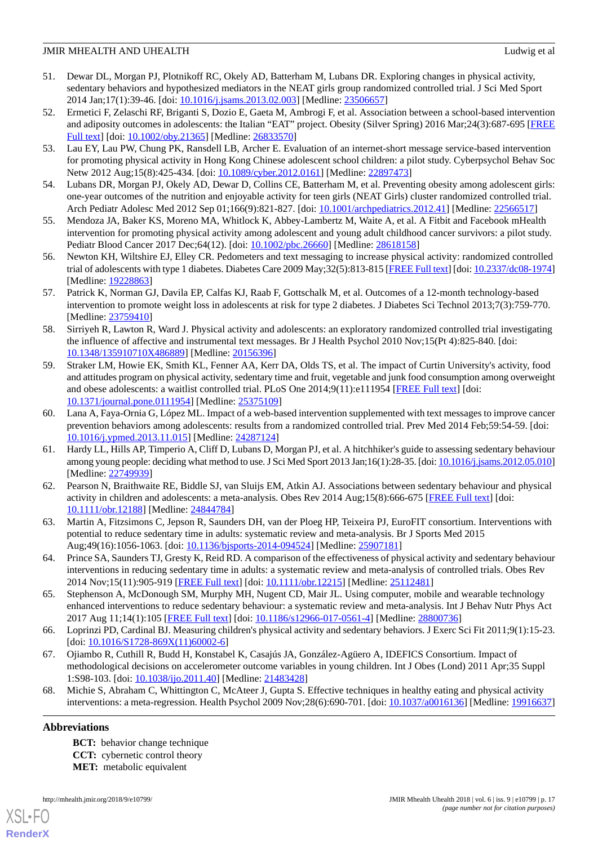- <span id="page-16-1"></span>51. Dewar DL, Morgan PJ, Plotnikoff RC, Okely AD, Batterham M, Lubans DR. Exploring changes in physical activity, sedentary behaviors and hypothesized mediators in the NEAT girls group randomized controlled trial. J Sci Med Sport 2014 Jan;17(1):39-46. [doi: [10.1016/j.jsams.2013.02.003](http://dx.doi.org/10.1016/j.jsams.2013.02.003)] [Medline: [23506657\]](http://www.ncbi.nlm.nih.gov/entrez/query.fcgi?cmd=Retrieve&db=PubMed&list_uids=23506657&dopt=Abstract)
- <span id="page-16-4"></span>52. Ermetici F, Zelaschi RF, Briganti S, Dozio E, Gaeta M, Ambrogi F, et al. Association between a school-based intervention and adiposity outcomes in adolescents: the Italian "EAT" project. Obesity (Silver Spring) 2016 Mar;24(3):687-695 [\[FREE](https://doi.org/10.1002/oby.21365) [Full text\]](https://doi.org/10.1002/oby.21365) [doi: [10.1002/oby.21365](http://dx.doi.org/10.1002/oby.21365)] [Medline: [26833570](http://www.ncbi.nlm.nih.gov/entrez/query.fcgi?cmd=Retrieve&db=PubMed&list_uids=26833570&dopt=Abstract)]
- <span id="page-16-6"></span>53. Lau EY, Lau PW, Chung PK, Ransdell LB, Archer E. Evaluation of an internet-short message service-based intervention for promoting physical activity in Hong Kong Chinese adolescent school children: a pilot study. Cyberpsychol Behav Soc Netw 2012 Aug;15(8):425-434. [doi: [10.1089/cyber.2012.0161](http://dx.doi.org/10.1089/cyber.2012.0161)] [Medline: [22897473\]](http://www.ncbi.nlm.nih.gov/entrez/query.fcgi?cmd=Retrieve&db=PubMed&list_uids=22897473&dopt=Abstract)
- <span id="page-16-8"></span><span id="page-16-2"></span>54. Lubans DR, Morgan PJ, Okely AD, Dewar D, Collins CE, Batterham M, et al. Preventing obesity among adolescent girls: one-year outcomes of the nutrition and enjoyable activity for teen girls (NEAT Girls) cluster randomized controlled trial. Arch Pediatr Adolesc Med 2012 Sep 01;166(9):821-827. [doi: [10.1001/archpediatrics.2012.41](http://dx.doi.org/10.1001/archpediatrics.2012.41)] [Medline: [22566517](http://www.ncbi.nlm.nih.gov/entrez/query.fcgi?cmd=Retrieve&db=PubMed&list_uids=22566517&dopt=Abstract)]
- <span id="page-16-7"></span>55. Mendoza JA, Baker KS, Moreno MA, Whitlock K, Abbey-Lambertz M, Waite A, et al. A Fitbit and Facebook mHealth intervention for promoting physical activity among adolescent and young adult childhood cancer survivors: a pilot study. Pediatr Blood Cancer 2017 Dec;64(12). [doi: [10.1002/pbc.26660\]](http://dx.doi.org/10.1002/pbc.26660) [Medline: [28618158](http://www.ncbi.nlm.nih.gov/entrez/query.fcgi?cmd=Retrieve&db=PubMed&list_uids=28618158&dopt=Abstract)]
- <span id="page-16-5"></span>56. Newton KH, Wiltshire EJ, Elley CR. Pedometers and text messaging to increase physical activity: randomized controlled trial of adolescents with type 1 diabetes. Diabetes Care 2009 May;32(5):813-815 [\[FREE Full text](http://europepmc.org/abstract/MED/19228863)] [doi: [10.2337/dc08-1974\]](http://dx.doi.org/10.2337/dc08-1974) [Medline: [19228863](http://www.ncbi.nlm.nih.gov/entrez/query.fcgi?cmd=Retrieve&db=PubMed&list_uids=19228863&dopt=Abstract)]
- <span id="page-16-9"></span>57. Patrick K, Norman GJ, Davila EP, Calfas KJ, Raab F, Gottschalk M, et al. Outcomes of a 12-month technology-based intervention to promote weight loss in adolescents at risk for type 2 diabetes. J Diabetes Sci Technol 2013;7(3):759-770. [Medline: [23759410](http://www.ncbi.nlm.nih.gov/entrez/query.fcgi?cmd=Retrieve&db=PubMed&list_uids=23759410&dopt=Abstract)]
- <span id="page-16-0"></span>58. Sirriyeh R, Lawton R, Ward J. Physical activity and adolescents: an exploratory randomized controlled trial investigating the influence of affective and instrumental text messages. Br J Health Psychol 2010 Nov;15(Pt 4):825-840. [doi: [10.1348/135910710X486889](http://dx.doi.org/10.1348/135910710X486889)] [Medline: [20156396\]](http://www.ncbi.nlm.nih.gov/entrez/query.fcgi?cmd=Retrieve&db=PubMed&list_uids=20156396&dopt=Abstract)
- <span id="page-16-3"></span>59. Straker LM, Howie EK, Smith KL, Fenner AA, Kerr DA, Olds TS, et al. The impact of Curtin University's activity, food and attitudes program on physical activity, sedentary time and fruit, vegetable and junk food consumption among overweight and obese adolescents: a waitlist controlled trial. PLoS One 2014;9(11):e111954 [\[FREE Full text\]](http://dx.plos.org/10.1371/journal.pone.0111954) [doi: [10.1371/journal.pone.0111954\]](http://dx.doi.org/10.1371/journal.pone.0111954) [Medline: [25375109](http://www.ncbi.nlm.nih.gov/entrez/query.fcgi?cmd=Retrieve&db=PubMed&list_uids=25375109&dopt=Abstract)]
- <span id="page-16-10"></span>60. Lana A, Faya-Ornia G, López ML. Impact of a web-based intervention supplemented with text messages to improve cancer prevention behaviors among adolescents: results from a randomized controlled trial. Prev Med 2014 Feb;59:54-59. [doi: [10.1016/j.ypmed.2013.11.015\]](http://dx.doi.org/10.1016/j.ypmed.2013.11.015) [Medline: [24287124\]](http://www.ncbi.nlm.nih.gov/entrez/query.fcgi?cmd=Retrieve&db=PubMed&list_uids=24287124&dopt=Abstract)
- <span id="page-16-11"></span>61. Hardy LL, Hills AP, Timperio A, Cliff D, Lubans D, Morgan PJ, et al. A hitchhiker's guide to assessing sedentary behaviour among young people: deciding what method to use. J Sci Med Sport 2013 Jan;16(1):28-35. [doi: [10.1016/j.jsams.2012.05.010](http://dx.doi.org/10.1016/j.jsams.2012.05.010)] [Medline: [22749939](http://www.ncbi.nlm.nih.gov/entrez/query.fcgi?cmd=Retrieve&db=PubMed&list_uids=22749939&dopt=Abstract)]
- <span id="page-16-13"></span><span id="page-16-12"></span>62. Pearson N, Braithwaite RE, Biddle SJ, van Sluijs EM, Atkin AJ. Associations between sedentary behaviour and physical activity in children and adolescents: a meta-analysis. Obes Rev 2014 Aug;15(8):666-675 [\[FREE Full text\]](https://dx.doi.org/10.1111/obr.12188) [doi: [10.1111/obr.12188](http://dx.doi.org/10.1111/obr.12188)] [Medline: [24844784\]](http://www.ncbi.nlm.nih.gov/entrez/query.fcgi?cmd=Retrieve&db=PubMed&list_uids=24844784&dopt=Abstract)
- <span id="page-16-14"></span>63. Martin A, Fitzsimons C, Jepson R, Saunders DH, van der Ploeg HP, Teixeira PJ, EuroFIT consortium. Interventions with potential to reduce sedentary time in adults: systematic review and meta-analysis. Br J Sports Med 2015 Aug;49(16):1056-1063. [doi: [10.1136/bjsports-2014-094524](http://dx.doi.org/10.1136/bjsports-2014-094524)] [Medline: [25907181](http://www.ncbi.nlm.nih.gov/entrez/query.fcgi?cmd=Retrieve&db=PubMed&list_uids=25907181&dopt=Abstract)]
- <span id="page-16-15"></span>64. Prince SA, Saunders TJ, Gresty K, Reid RD. A comparison of the effectiveness of physical activity and sedentary behaviour interventions in reducing sedentary time in adults: a systematic review and meta-analysis of controlled trials. Obes Rev 2014 Nov;15(11):905-919 [[FREE Full text\]](http://dx.doi.org/10.1111/obr.12215) [doi: [10.1111/obr.12215\]](http://dx.doi.org/10.1111/obr.12215) [Medline: [25112481](http://www.ncbi.nlm.nih.gov/entrez/query.fcgi?cmd=Retrieve&db=PubMed&list_uids=25112481&dopt=Abstract)]
- <span id="page-16-16"></span>65. Stephenson A, McDonough SM, Murphy MH, Nugent CD, Mair JL. Using computer, mobile and wearable technology enhanced interventions to reduce sedentary behaviour: a systematic review and meta-analysis. Int J Behav Nutr Phys Act 2017 Aug 11;14(1):105 [[FREE Full text](https://ijbnpa.biomedcentral.com/articles/10.1186/s12966-017-0561-4)] [doi: [10.1186/s12966-017-0561-4\]](http://dx.doi.org/10.1186/s12966-017-0561-4) [Medline: [28800736](http://www.ncbi.nlm.nih.gov/entrez/query.fcgi?cmd=Retrieve&db=PubMed&list_uids=28800736&dopt=Abstract)]
- <span id="page-16-17"></span>66. Loprinzi PD, Cardinal BJ. Measuring children's physical activity and sedentary behaviors. J Exerc Sci Fit 2011;9(1):15-23. [doi: [10.1016/S1728-869X\(11\)60002-6](http://dx.doi.org/10.1016/S1728-869X(11)60002-6)]
- 67. Ojiambo R, Cuthill R, Budd H, Konstabel K, Casajús JA, González-Agüero A, IDEFICS Consortium. Impact of methodological decisions on accelerometer outcome variables in young children. Int J Obes (Lond) 2011 Apr;35 Suppl 1:S98-103. [doi: [10.1038/ijo.2011.40](http://dx.doi.org/10.1038/ijo.2011.40)] [Medline: [21483428](http://www.ncbi.nlm.nih.gov/entrez/query.fcgi?cmd=Retrieve&db=PubMed&list_uids=21483428&dopt=Abstract)]
- 68. Michie S, Abraham C, Whittington C, McAteer J, Gupta S. Effective techniques in healthy eating and physical activity interventions: a meta-regression. Health Psychol 2009 Nov;28(6):690-701. [doi: [10.1037/a0016136](http://dx.doi.org/10.1037/a0016136)] [Medline: [19916637](http://www.ncbi.nlm.nih.gov/entrez/query.fcgi?cmd=Retrieve&db=PubMed&list_uids=19916637&dopt=Abstract)]

# **Abbreviations**

[XSL](http://www.w3.org/Style/XSL)•FO **[RenderX](http://www.renderx.com/)**

**BCT:** behavior change technique **CCT:** cybernetic control theory **MET:** metabolic equivalent